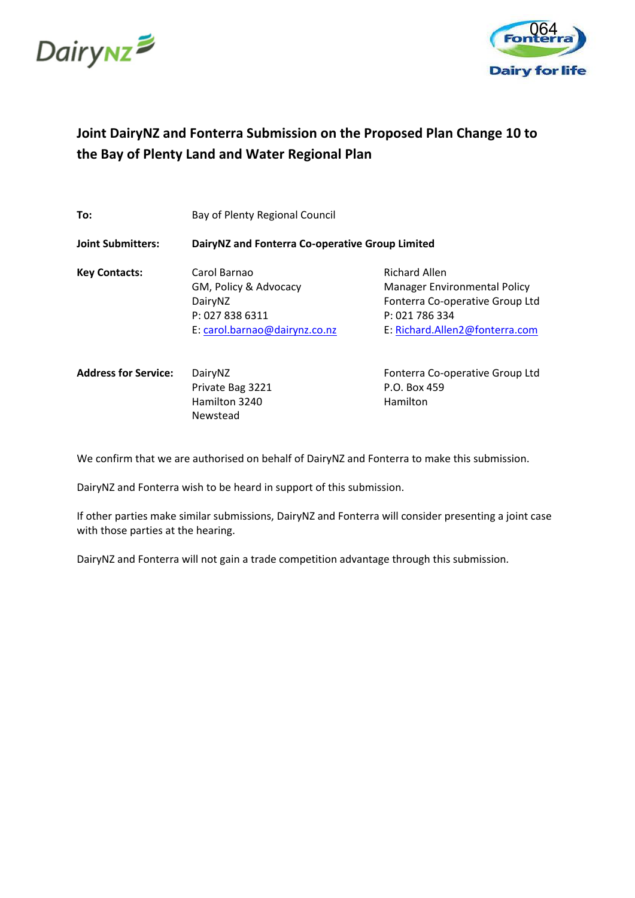



# **Joint DairyNZ and Fonterra Submission on the Proposed Plan Change 10 to the Bay of Plenty Land and Water Regional Plan**

| To:                         | Bay of Plenty Regional Council                                                                       |                                                                                                                                                    |  |  |  |
|-----------------------------|------------------------------------------------------------------------------------------------------|----------------------------------------------------------------------------------------------------------------------------------------------------|--|--|--|
| <b>Joint Submitters:</b>    | DairyNZ and Fonterra Co-operative Group Limited                                                      |                                                                                                                                                    |  |  |  |
| <b>Key Contacts:</b>        | Carol Barnao<br>GM, Policy & Advocacy<br>DairyNZ<br>P: 027 838 6311<br>E: carol.barnao@dairynz.co.nz | <b>Richard Allen</b><br><b>Manager Environmental Policy</b><br>Fonterra Co-operative Group Ltd<br>P: 021 786 334<br>E: Richard.Allen2@fonterra.com |  |  |  |
| <b>Address for Service:</b> | DairyNZ<br>Private Bag 3221<br>Hamilton 3240<br>Newstead                                             | Fonterra Co-operative Group Ltd<br>P.O. Box 459<br>Hamilton                                                                                        |  |  |  |

We confirm that we are authorised on behalf of DairyNZ and Fonterra to make this submission.

DairyNZ and Fonterra wish to be heard in support of this submission.

If other parties make similar submissions, DairyNZ and Fonterra will consider presenting a joint case with those parties at the hearing.

DairyNZ and Fonterra will not gain a trade competition advantage through this submission*.*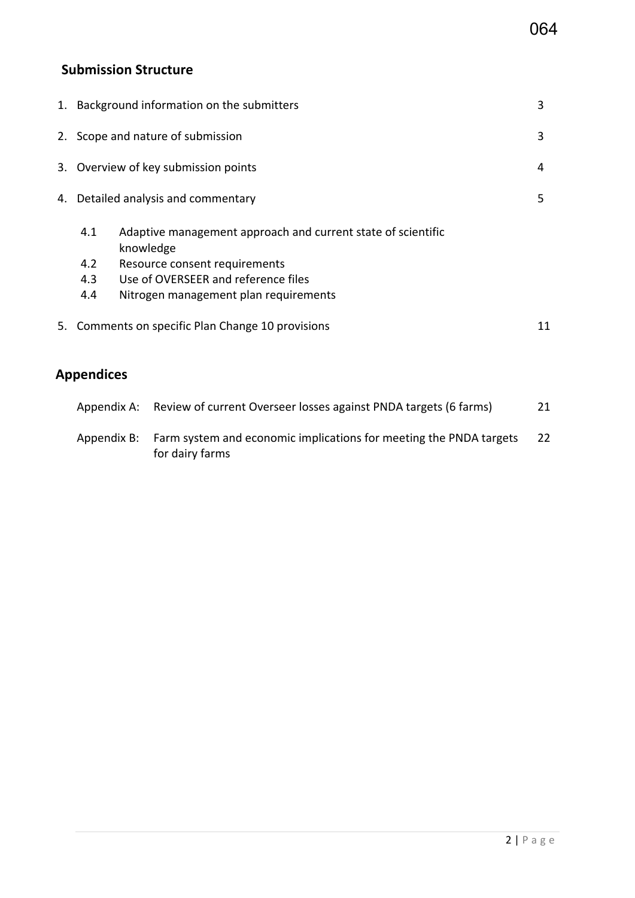# **Submission Structure**

|    | 1. Background information on the submitters<br>3        |                                                                                                                                                                                            |   |  |  |  |  |
|----|---------------------------------------------------------|--------------------------------------------------------------------------------------------------------------------------------------------------------------------------------------------|---|--|--|--|--|
| 2. |                                                         | Scope and nature of submission                                                                                                                                                             | 3 |  |  |  |  |
| 3. |                                                         | Overview of key submission points                                                                                                                                                          | 4 |  |  |  |  |
| 4. | Detailed analysis and commentary<br>5                   |                                                                                                                                                                                            |   |  |  |  |  |
|    | 4.1<br>4.2<br>4.3<br>4.4                                | Adaptive management approach and current state of scientific<br>knowledge<br>Resource consent requirements<br>Use of OVERSEER and reference files<br>Nitrogen management plan requirements |   |  |  |  |  |
|    | 5. Comments on specific Plan Change 10 provisions<br>11 |                                                                                                                                                                                            |   |  |  |  |  |
|    | <b>Appendices</b>                                       |                                                                                                                                                                                            |   |  |  |  |  |

| Appendix A: Review of current Overseer losses against PNDA targets (6 farms)                      | 21 |
|---------------------------------------------------------------------------------------------------|----|
| Appendix B: Farm system and economic implications for meeting the PNDA targets<br>for dairy farms | 22 |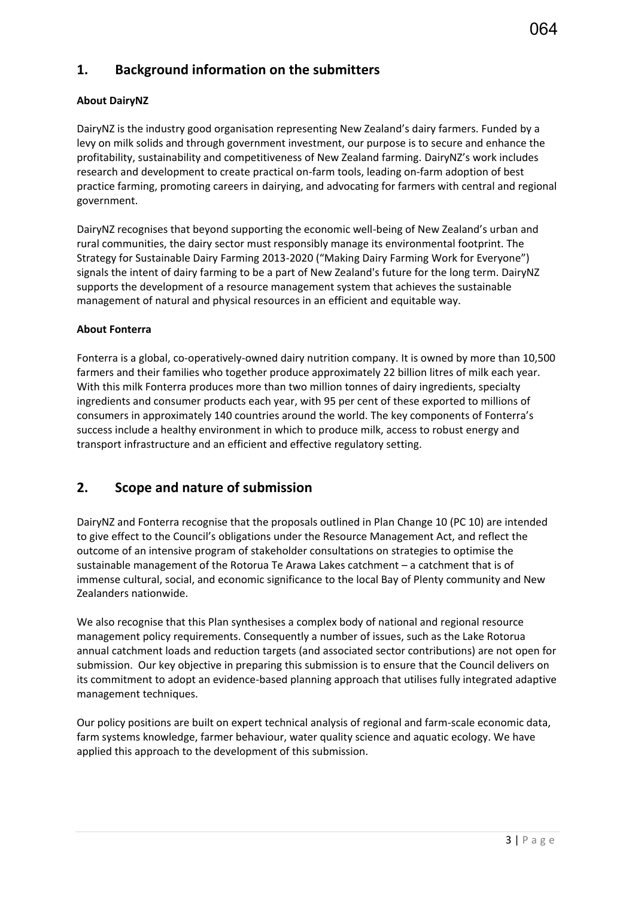## **1. Background information on the submitters**

## **About DairyNZ**

DairyNZ is the industry good organisation representing New Zealand's dairy farmers. Funded by a levy on milk solids and through government investment, our purpose is to secure and enhance the profitability, sustainability and competitiveness of New Zealand farming. DairyNZ's work includes research and development to create practical on-farm tools, leading on-farm adoption of best practice farming, promoting careers in dairying, and advocating for farmers with central and regional government.

DairyNZ recognises that beyond supporting the economic well-being of New Zealand's urban and rural communities, the dairy sector must responsibly manage its environmental footprint. The Strategy for Sustainable Dairy Farming 2013-2020 ("Making Dairy Farming Work for Everyone") signals the intent of dairy farming to be a part of New Zealand's future for the long term. DairyNZ supports the development of a resource management system that achieves the sustainable management of natural and physical resources in an efficient and equitable way.

### **About Fonterra**

Fonterra is a global, co-operatively-owned dairy nutrition company. It is owned by more than 10,500 farmers and their families who together produce approximately 22 billion litres of milk each year. With this milk Fonterra produces more than two million tonnes of dairy ingredients, specialty ingredients and consumer products each year, with 95 per cent of these exported to millions of consumers in approximately 140 countries around the world. The key components of Fonterra's success include a healthy environment in which to produce milk, access to robust energy and transport infrastructure and an efficient and effective regulatory setting.

## **2. Scope and nature of submission**

DairyNZ and Fonterra recognise that the proposals outlined in Plan Change 10 (PC 10) are intended to give effect to the Council's obligations under the Resource Management Act, and reflect the outcome of an intensive program of stakeholder consultations on strategies to optimise the sustainable management of the Rotorua Te Arawa Lakes catchment – a catchment that is of immense cultural, social, and economic significance to the local Bay of Plenty community and New Zealanders nationwide.

We also recognise that this Plan synthesises a complex body of national and regional resource management policy requirements. Consequently a number of issues, such as the Lake Rotorua annual catchment loads and reduction targets (and associated sector contributions) are not open for submission. Our key objective in preparing this submission is to ensure that the Council delivers on its commitment to adopt an evidence-based planning approach that utilises fully integrated adaptive management techniques.

Our policy positions are built on expert technical analysis of regional and farm-scale economic data, farm systems knowledge, farmer behaviour, water quality science and aquatic ecology. We have applied this approach to the development of this submission.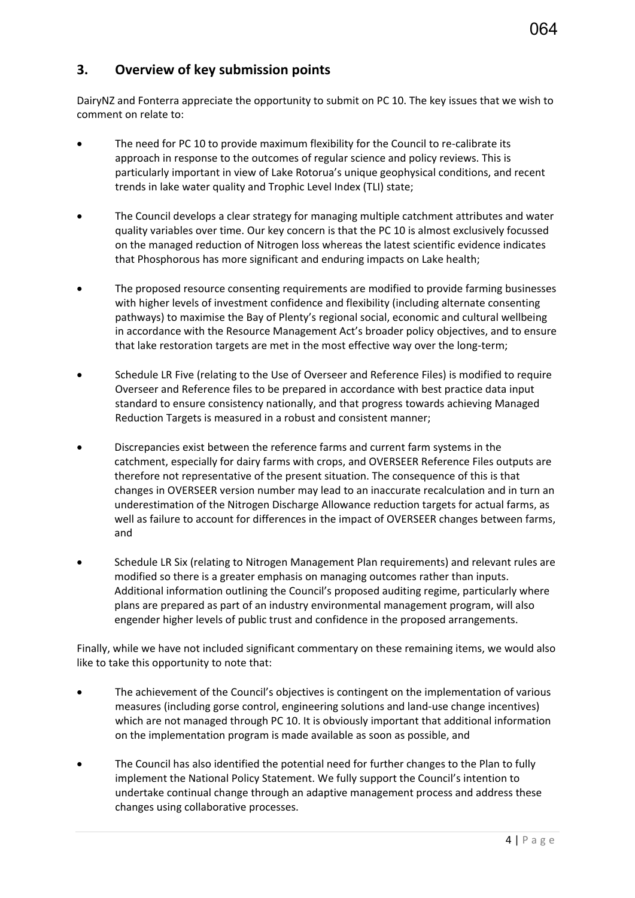## **3. Overview of key submission points**

DairyNZ and Fonterra appreciate the opportunity to submit on PC 10. The key issues that we wish to comment on relate to:

- The need for PC 10 to provide maximum flexibility for the Council to re-calibrate its approach in response to the outcomes of regular science and policy reviews. This is particularly important in view of Lake Rotorua's unique geophysical conditions, and recent trends in lake water quality and Trophic Level Index (TLI) state;
- The Council develops a clear strategy for managing multiple catchment attributes and water quality variables over time. Our key concern is that the PC 10 is almost exclusively focussed on the managed reduction of Nitrogen loss whereas the latest scientific evidence indicates that Phosphorous has more significant and enduring impacts on Lake health;
- The proposed resource consenting requirements are modified to provide farming businesses with higher levels of investment confidence and flexibility (including alternate consenting pathways) to maximise the Bay of Plenty's regional social, economic and cultural wellbeing in accordance with the Resource Management Act's broader policy objectives, and to ensure that lake restoration targets are met in the most effective way over the long-term;
- Schedule LR Five (relating to the Use of Overseer and Reference Files) is modified to require Overseer and Reference files to be prepared in accordance with best practice data input standard to ensure consistency nationally, and that progress towards achieving Managed Reduction Targets is measured in a robust and consistent manner;
- Discrepancies exist between the reference farms and current farm systems in the catchment, especially for dairy farms with crops, and OVERSEER Reference Files outputs are therefore not representative of the present situation. The consequence of this is that changes in OVERSEER version number may lead to an inaccurate recalculation and in turn an underestimation of the Nitrogen Discharge Allowance reduction targets for actual farms, as well as failure to account for differences in the impact of OVERSEER changes between farms, and
- Schedule LR Six (relating to Nitrogen Management Plan requirements) and relevant rules are modified so there is a greater emphasis on managing outcomes rather than inputs. Additional information outlining the Council's proposed auditing regime, particularly where plans are prepared as part of an industry environmental management program, will also engender higher levels of public trust and confidence in the proposed arrangements.

Finally, while we have not included significant commentary on these remaining items, we would also like to take this opportunity to note that:

- The achievement of the Council's objectives is contingent on the implementation of various measures (including gorse control, engineering solutions and land-use change incentives) which are not managed through PC 10. It is obviously important that additional information on the implementation program is made available as soon as possible, and
- The Council has also identified the potential need for further changes to the Plan to fully implement the National Policy Statement. We fully support the Council's intention to undertake continual change through an adaptive management process and address these changes using collaborative processes.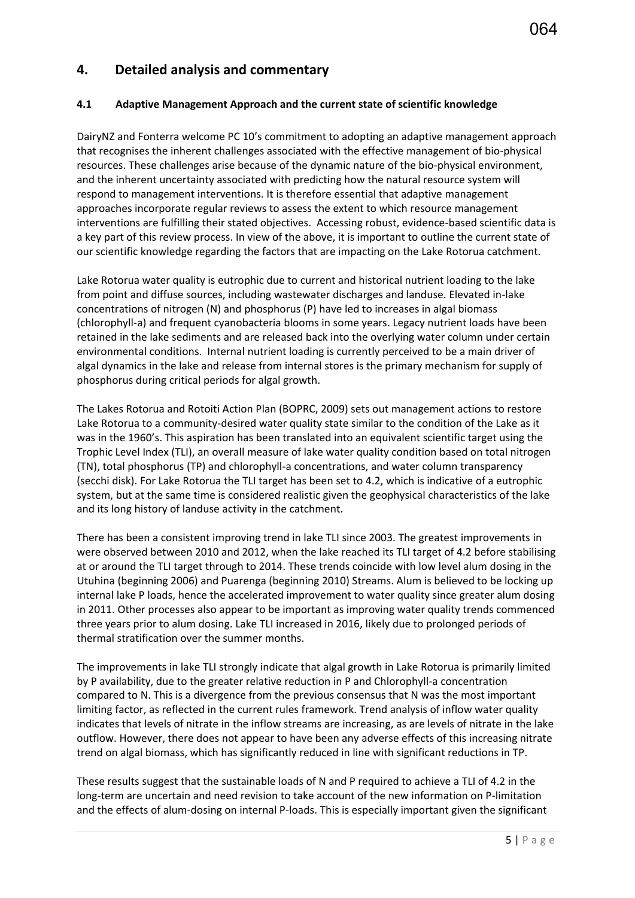## **4. Detailed analysis and commentary**

### **4.1 Adaptive Management Approach and the current state of scientific knowledge**

DairyNZ and Fonterra welcome PC 10's commitment to adopting an adaptive management approach that recognises the inherent challenges associated with the effective management of bio-physical resources. These challenges arise because of the dynamic nature of the bio-physical environment, and the inherent uncertainty associated with predicting how the natural resource system will respond to management interventions. It is therefore essential that adaptive management approaches incorporate regular reviews to assess the extent to which resource management interventions are fulfilling their stated objectives. Accessing robust, evidence-based scientific data is a key part of this review process. In view of the above, it is important to outline the current state of our scientific knowledge regarding the factors that are impacting on the Lake Rotorua catchment.

Lake Rotorua water quality is eutrophic due to current and historical nutrient loading to the lake from point and diffuse sources, including wastewater discharges and landuse. Elevated in-lake concentrations of nitrogen (N) and phosphorus (P) have led to increases in algal biomass (chlorophyll-a) and frequent cyanobacteria blooms in some years. Legacy nutrient loads have been retained in the lake sediments and are released back into the overlying water column under certain environmental conditions. Internal nutrient loading is currently perceived to be a main driver of algal dynamics in the lake and release from internal stores is the primary mechanism for supply of phosphorus during critical periods for algal growth.

The Lakes Rotorua and Rotoiti Action Plan (BOPRC, 2009) sets out management actions to restore Lake Rotorua to a community-desired water quality state similar to the condition of the Lake as it was in the 1960's. This aspiration has been translated into an equivalent scientific target using the Trophic Level Index (TLI), an overall measure of lake water quality condition based on total nitrogen (TN), total phosphorus (TP) and chlorophyll-a concentrations, and water column transparency (secchi disk). For Lake Rotorua the TLI target has been set to 4.2, which is indicative of a eutrophic system, but at the same time is considered realistic given the geophysical characteristics of the lake and its long history of landuse activity in the catchment.

There has been a consistent improving trend in lake TLI since 2003. The greatest improvements in were observed between 2010 and 2012, when the lake reached its TLI target of 4.2 before stabilising at or around the TLI target through to 2014. These trends coincide with low level alum dosing in the Utuhina (beginning 2006) and Puarenga (beginning 2010) Streams. Alum is believed to be locking up internal lake P loads, hence the accelerated improvement to water quality since greater alum dosing in 2011. Other processes also appear to be important as improving water quality trends commenced three years prior to alum dosing. Lake TLI increased in 2016, likely due to prolonged periods of thermal stratification over the summer months.

The improvements in lake TLI strongly indicate that algal growth in Lake Rotorua is primarily limited by P availability, due to the greater relative reduction in P and Chlorophyll-a concentration compared to N. This is a divergence from the previous consensus that N was the most important limiting factor, as reflected in the current rules framework. Trend analysis of inflow water quality indicates that levels of nitrate in the inflow streams are increasing, as are levels of nitrate in the lake outflow. However, there does not appear to have been any adverse effects of this increasing nitrate trend on algal biomass, which has significantly reduced in line with significant reductions in TP.

These results suggest that the sustainable loads of N and P required to achieve a TLI of 4.2 in the long-term are uncertain and need revision to take account of the new information on P-limitation and the effects of alum-dosing on internal P-loads. This is especially important given the significant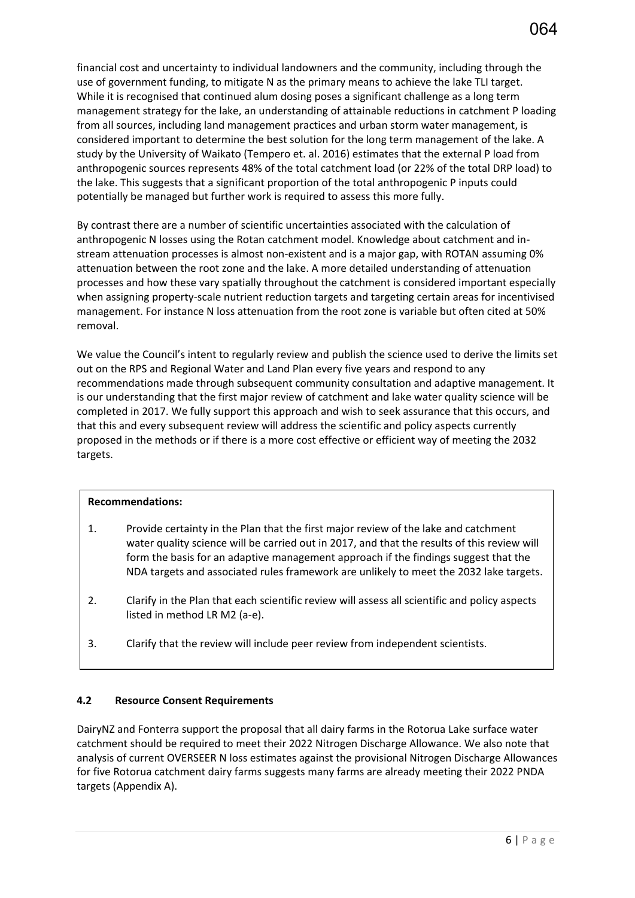financial cost and uncertainty to individual landowners and the community, including through the use of government funding, to mitigate N as the primary means to achieve the lake TLI target. While it is recognised that continued alum dosing poses a significant challenge as a long term management strategy for the lake, an understanding of attainable reductions in catchment P loading from all sources, including land management practices and urban storm water management, is considered important to determine the best solution for the long term management of the lake. A study by the University of Waikato (Tempero et. al. 2016) estimates that the external P load from anthropogenic sources represents 48% of the total catchment load (or 22% of the total DRP load) to the lake. This suggests that a significant proportion of the total anthropogenic P inputs could potentially be managed but further work is required to assess this more fully.

By contrast there are a number of scientific uncertainties associated with the calculation of anthropogenic N losses using the Rotan catchment model. Knowledge about catchment and instream attenuation processes is almost non-existent and is a major gap, with ROTAN assuming 0% attenuation between the root zone and the lake. A more detailed understanding of attenuation processes and how these vary spatially throughout the catchment is considered important especially when assigning property-scale nutrient reduction targets and targeting certain areas for incentivised management. For instance N loss attenuation from the root zone is variable but often cited at 50% removal.

We value the Council's intent to regularly review and publish the science used to derive the limits set out on the RPS and Regional Water and Land Plan every five years and respond to any recommendations made through subsequent community consultation and adaptive management. It is our understanding that the first major review of catchment and lake water quality science will be completed in 2017. We fully support this approach and wish to seek assurance that this occurs, and that this and every subsequent review will address the scientific and policy aspects currently proposed in the methods or if there is a more cost effective or efficient way of meeting the 2032 targets.

## **Recommendations:**

- 1. 1. Provide certainty in the Plan that the first major review of the lake and catchment water quality science will be carried out in 2017, and that the results of this review will form the basis for an adaptive management approach if the findings suggest that the NDA targets and associated rules framework are unlikely to meet the 2032 lake targets.
- 3. 2. Clarify in the Plan that each scientific review will assess all scientific and policy aspects listed in method LR M2 (a-e).
- 3. Clarify that the review will include peer review from independent scientists.

## **4.2 Resource Consent Requirements**

DairyNZ and Fonterra support the proposal that all dairy farms in the Rotorua Lake surface water catchment should be required to meet their 2022 Nitrogen Discharge Allowance. We also note that analysis of current OVERSEER N loss estimates against the provisional Nitrogen Discharge Allowances for five Rotorua catchment dairy farms suggests many farms are already meeting their 2022 PNDA targets (Appendix A).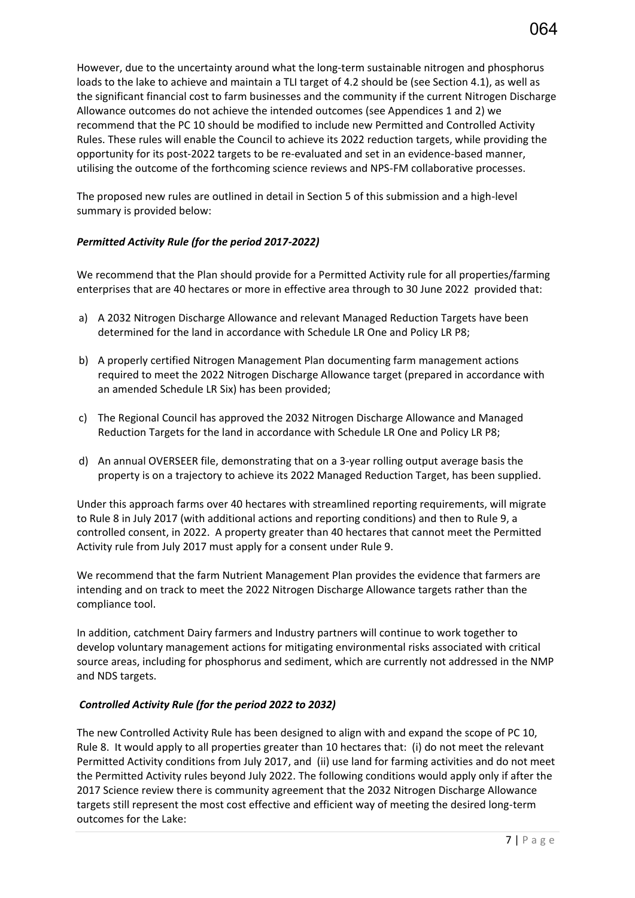However, due to the uncertainty around what the long-term sustainable nitrogen and phosphorus loads to the lake to achieve and maintain a TLI target of 4.2 should be (see Section 4.1), as well as the significant financial cost to farm businesses and the community if the current Nitrogen Discharge Allowance outcomes do not achieve the intended outcomes (see Appendices 1 and 2) we recommend that the PC 10 should be modified to include new Permitted and Controlled Activity Rules. These rules will enable the Council to achieve its 2022 reduction targets, while providing the opportunity for its post-2022 targets to be re-evaluated and set in an evidence-based manner, utilising the outcome of the forthcoming science reviews and NPS-FM collaborative processes.

The proposed new rules are outlined in detail in Section 5 of this submission and a high-level summary is provided below:

## *Permitted Activity Rule (for the period 2017-2022)*

We recommend that the Plan should provide for a Permitted Activity rule for all properties/farming enterprises that are 40 hectares or more in effective area through to 30 June 2022 provided that:

- a) A 2032 Nitrogen Discharge Allowance and relevant Managed Reduction Targets have been determined for the land in accordance with Schedule LR One and Policy LR P8;
- b) A properly certified Nitrogen Management Plan documenting farm management actions required to meet the 2022 Nitrogen Discharge Allowance target (prepared in accordance with an amended Schedule LR Six) has been provided;
- c) The Regional Council has approved the 2032 Nitrogen Discharge Allowance and Managed Reduction Targets for the land in accordance with Schedule LR One and Policy LR P8;
- d) An annual OVERSEER file, demonstrating that on a 3-year rolling output average basis the property is on a trajectory to achieve its 2022 Managed Reduction Target, has been supplied.

Under this approach farms over 40 hectares with streamlined reporting requirements, will migrate to Rule 8 in July 2017 (with additional actions and reporting conditions) and then to Rule 9, a controlled consent, in 2022. A property greater than 40 hectares that cannot meet the Permitted Activity rule from July 2017 must apply for a consent under Rule 9.

We recommend that the farm Nutrient Management Plan provides the evidence that farmers are intending and on track to meet the 2022 Nitrogen Discharge Allowance targets rather than the compliance tool.

In addition, catchment Dairy farmers and Industry partners will continue to work together to develop voluntary management actions for mitigating environmental risks associated with critical source areas, including for phosphorus and sediment, which are currently not addressed in the NMP and NDS targets.

### *Controlled Activity Rule (for the period 2022 to 2032)*

The new Controlled Activity Rule has been designed to align with and expand the scope of PC 10, Rule 8. It would apply to all properties greater than 10 hectares that: (i) do not meet the relevant Permitted Activity conditions from July 2017, and (ii) use land for farming activities and do not meet the Permitted Activity rules beyond July 2022. The following conditions would apply only if after the 2017 Science review there is community agreement that the 2032 Nitrogen Discharge Allowance targets still represent the most cost effective and efficient way of meeting the desired long-term outcomes for the Lake: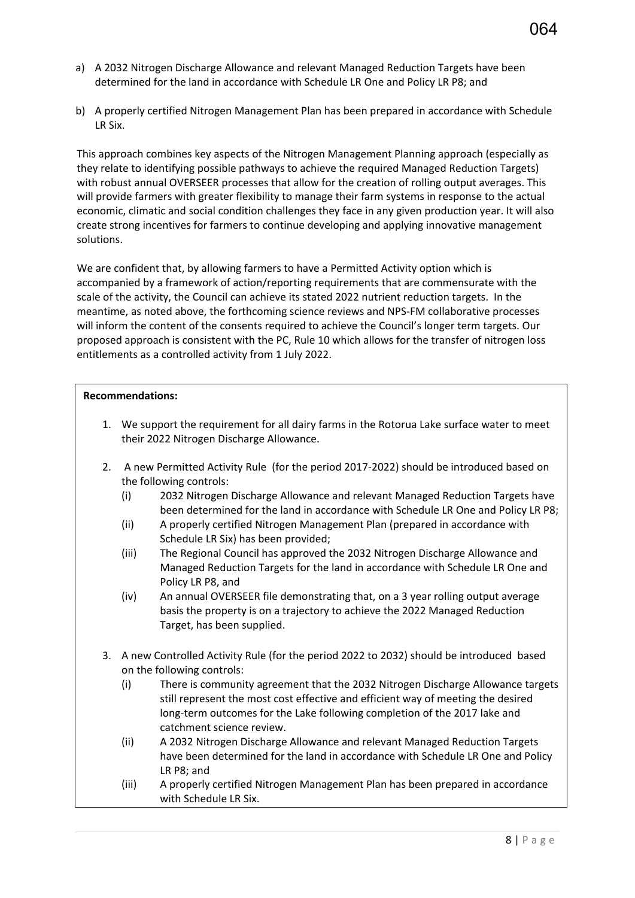- a) A 2032 Nitrogen Discharge Allowance and relevant Managed Reduction Targets have been determined for the land in accordance with Schedule LR One and Policy LR P8; and
- b) A properly certified Nitrogen Management Plan has been prepared in accordance with Schedule LR Six.

This approach combines key aspects of the Nitrogen Management Planning approach (especially as they relate to identifying possible pathways to achieve the required Managed Reduction Targets) with robust annual OVERSEER processes that allow for the creation of rolling output averages. This will provide farmers with greater flexibility to manage their farm systems in response to the actual economic, climatic and social condition challenges they face in any given production year. It will also create strong incentives for farmers to continue developing and applying innovative management solutions.

We are confident that, by allowing farmers to have a Permitted Activity option which is accompanied by a framework of action/reporting requirements that are commensurate with the scale of the activity, the Council can achieve its stated 2022 nutrient reduction targets. In the meantime, as noted above, the forthcoming science reviews and NPS-FM collaborative processes will inform the content of the consents required to achieve the Council's longer term targets. Our proposed approach is consistent with the PC, Rule 10 which allows for the transfer of nitrogen loss entitlements as a controlled activity from 1 July 2022.

#### **Recommendations:**

- 1. We support the requirement for all dairy farms in the Rotorua Lake surface water to meet their 2022 Nitrogen Discharge Allowance.
- 2. A new Permitted Activity Rule (for the period 2017-2022) should be introduced based on the following controls:
	- (i) 2032 Nitrogen Discharge Allowance and relevant Managed Reduction Targets have been determined for the land in accordance with Schedule LR One and Policy LR P8;
	- (ii) A properly certified Nitrogen Management Plan (prepared in accordance with Schedule LR Six) has been provided;
	- (iii) The Regional Council has approved the 2032 Nitrogen Discharge Allowance and Managed Reduction Targets for the land in accordance with Schedule LR One and Policy LR P8, and
	- (iv) An annual OVERSEER file demonstrating that, on a 3 year rolling output average basis the property is on a trajectory to achieve the 2022 Managed Reduction Target, has been supplied.
- 3. A new Controlled Activity Rule (for the period 2022 to 2032) should be introduced based on the following controls:
	- (i) There is community agreement that the 2032 Nitrogen Discharge Allowance targets still represent the most cost effective and efficient way of meeting the desired long-term outcomes for the Lake following completion of the 2017 lake and catchment science review.
	- (ii) A 2032 Nitrogen Discharge Allowance and relevant Managed Reduction Targets have been determined for the land in accordance with Schedule LR One and Policy LR P8; and
	- (iii) A properly certified Nitrogen Management Plan has been prepared in accordance with Schedule LR Six.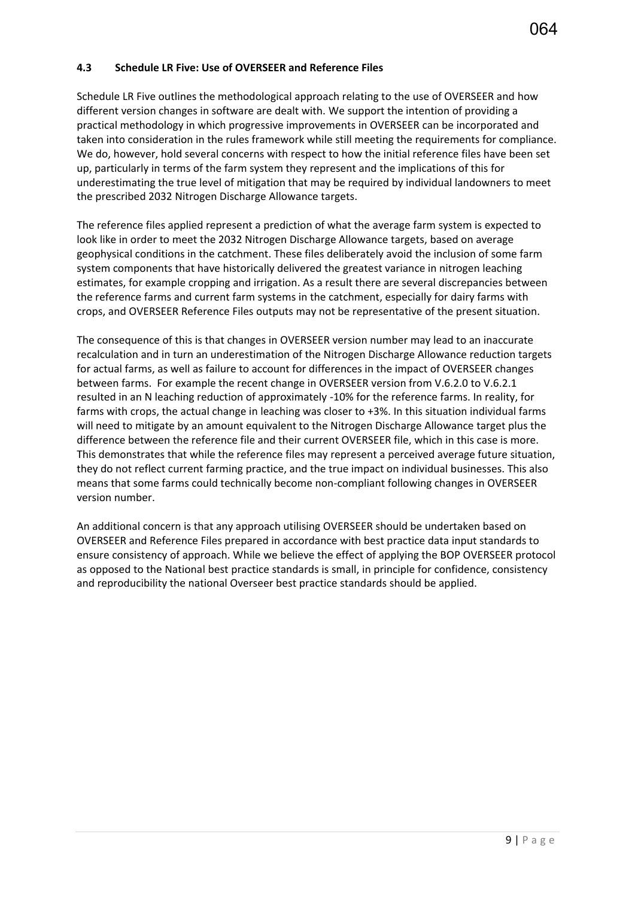Schedule LR Five outlines the methodological approach relating to the use of OVERSEER and how different version changes in software are dealt with. We support the intention of providing a practical methodology in which progressive improvements in OVERSEER can be incorporated and taken into consideration in the rules framework while still meeting the requirements for compliance. We do, however, hold several concerns with respect to how the initial reference files have been set up, particularly in terms of the farm system they represent and the implications of this for underestimating the true level of mitigation that may be required by individual landowners to meet the prescribed 2032 Nitrogen Discharge Allowance targets.

The reference files applied represent a prediction of what the average farm system is expected to look like in order to meet the 2032 Nitrogen Discharge Allowance targets, based on average geophysical conditions in the catchment. These files deliberately avoid the inclusion of some farm system components that have historically delivered the greatest variance in nitrogen leaching estimates, for example cropping and irrigation. As a result there are several discrepancies between the reference farms and current farm systems in the catchment, especially for dairy farms with crops, and OVERSEER Reference Files outputs may not be representative of the present situation.

The consequence of this is that changes in OVERSEER version number may lead to an inaccurate recalculation and in turn an underestimation of the Nitrogen Discharge Allowance reduction targets for actual farms, as well as failure to account for differences in the impact of OVERSEER changes between farms. For example the recent change in OVERSEER version from V.6.2.0 to V.6.2.1 resulted in an N leaching reduction of approximately -10% for the reference farms. In reality, for farms with crops, the actual change in leaching was closer to +3%. In this situation individual farms will need to mitigate by an amount equivalent to the Nitrogen Discharge Allowance target plus the difference between the reference file and their current OVERSEER file, which in this case is more. This demonstrates that while the reference files may represent a perceived average future situation, they do not reflect current farming practice, and the true impact on individual businesses. This also means that some farms could technically become non-compliant following changes in OVERSEER version number.

An additional concern is that any approach utilising OVERSEER should be undertaken based on OVERSEER and Reference Files prepared in accordance with best practice data input standards to ensure consistency of approach. While we believe the effect of applying the BOP OVERSEER protocol as opposed to the National best practice standards is small, in principle for confidence, consistency and reproducibility the national Overseer best practice standards should be applied.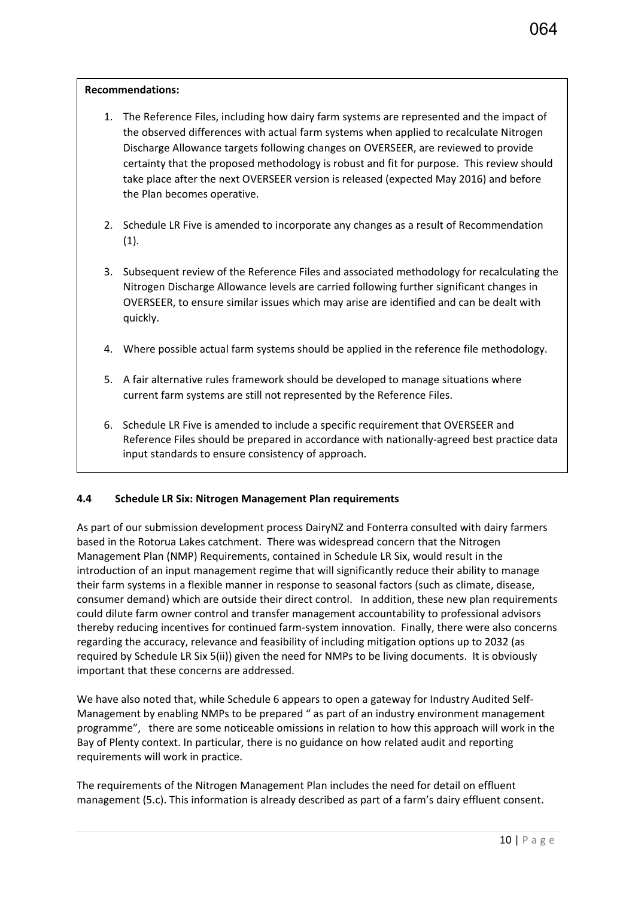- 1. The Reference Files, including how dairy farm systems are represented and the impact of the observed differences with actual farm systems when applied to recalculate Nitrogen Discharge Allowance targets following changes on OVERSEER, are reviewed to provide certainty that the proposed methodology is robust and fit for purpose. This review should take place after the next OVERSEER version is released (expected May 2016) and before the Plan becomes operative.
- 2. Schedule LR Five is amended to incorporate any changes as a result of Recommendation (1).
- 3. Subsequent review of the Reference Files and associated methodology for recalculating the Nitrogen Discharge Allowance levels are carried following further significant changes in OVERSEER, to ensure similar issues which may arise are identified and can be dealt with quickly.
- 4. Where possible actual farm systems should be applied in the reference file methodology.
- 5. A fair alternative rules framework should be developed to manage situations where current farm systems are still not represented by the Reference Files.
- 6. Schedule LR Five is amended to include a specific requirement that OVERSEER and Reference Files should be prepared in accordance with nationally-agreed best practice data input standards to ensure consistency of approach.

### **4.4 Schedule LR Six: Nitrogen Management Plan requirements**

As part of our submission development process DairyNZ and Fonterra consulted with dairy farmers based in the Rotorua Lakes catchment. There was widespread concern that the Nitrogen Management Plan (NMP) Requirements, contained in Schedule LR Six, would result in the introduction of an input management regime that will significantly reduce their ability to manage their farm systems in a flexible manner in response to seasonal factors (such as climate, disease, consumer demand) which are outside their direct control. In addition, these new plan requirements could dilute farm owner control and transfer management accountability to professional advisors thereby reducing incentives for continued farm-system innovation. Finally, there were also concerns regarding the accuracy, relevance and feasibility of including mitigation options up to 2032 (as required by Schedule LR Six 5(ii)) given the need for NMPs to be living documents. It is obviously important that these concerns are addressed.

We have also noted that, while Schedule 6 appears to open a gateway for Industry Audited Self-Management by enabling NMPs to be prepared " as part of an industry environment management programme", there are some noticeable omissions in relation to how this approach will work in the Bay of Plenty context. In particular, there is no guidance on how related audit and reporting requirements will work in practice.

The requirements of the Nitrogen Management Plan includes the need for detail on effluent management (5.c). This information is already described as part of a farm's dairy effluent consent.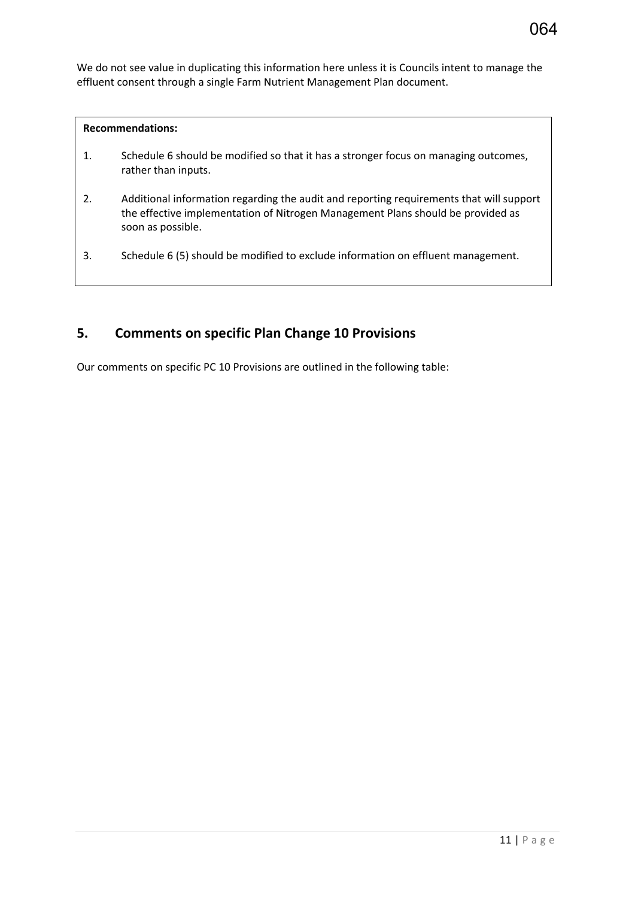We do not see value in duplicating this information here unless it is Councils intent to manage the effluent consent through a single Farm Nutrient Management Plan document.

#### **Recommendations:**

- 1. Schedule 6 should be modified so that it has a stronger focus on managing outcomes, rather than inputs.
- 2. Additional information regarding the audit and reporting requirements that will support the effective implementation of Nitrogen Management Plans should be provided as soon as possible.
- 3. Schedule 6 (5) should be modified to exclude information on effluent management.

## **5. Comments on specific Plan Change 10 Provisions**

Our comments on specific PC 10 Provisions are outlined in the following table: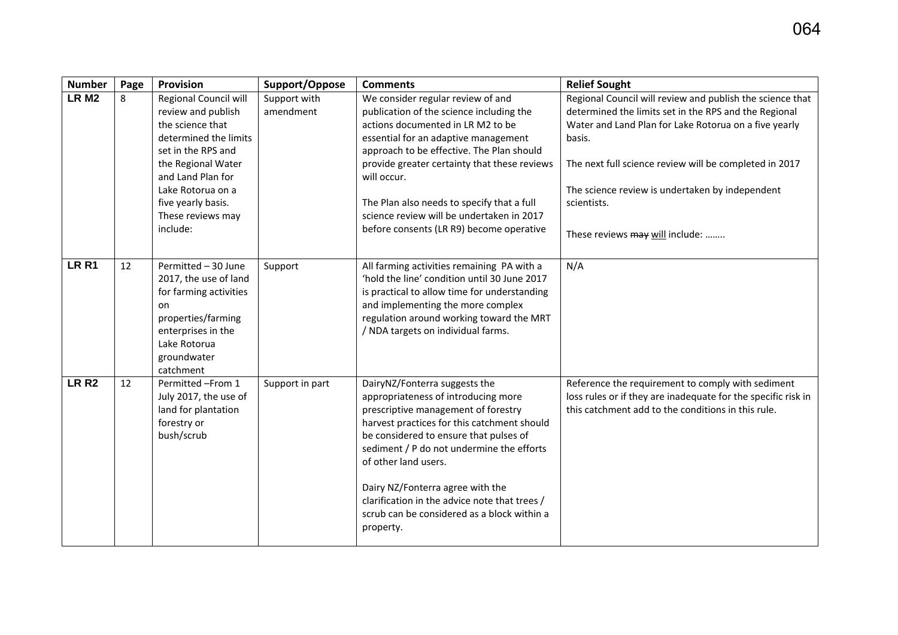| <b>Number</b>    | Page | Provision                                                                                                                                                                                                                             | Support/Oppose            | <b>Comments</b>                                                                                                                                                                                                                                                                                                                                                                                                            | <b>Relief Sought</b>                                                                                                                                                                                                                                                                                                                                 |
|------------------|------|---------------------------------------------------------------------------------------------------------------------------------------------------------------------------------------------------------------------------------------|---------------------------|----------------------------------------------------------------------------------------------------------------------------------------------------------------------------------------------------------------------------------------------------------------------------------------------------------------------------------------------------------------------------------------------------------------------------|------------------------------------------------------------------------------------------------------------------------------------------------------------------------------------------------------------------------------------------------------------------------------------------------------------------------------------------------------|
| <b>LR M2</b>     | 8    | Regional Council will<br>review and publish<br>the science that<br>determined the limits<br>set in the RPS and<br>the Regional Water<br>and Land Plan for<br>Lake Rotorua on a<br>five yearly basis.<br>These reviews may<br>include: | Support with<br>amendment | We consider regular review of and<br>publication of the science including the<br>actions documented in LR M2 to be<br>essential for an adaptive management<br>approach to be effective. The Plan should<br>provide greater certainty that these reviews<br>will occur.<br>The Plan also needs to specify that a full<br>science review will be undertaken in 2017<br>before consents (LR R9) become operative              | Regional Council will review and publish the science that<br>determined the limits set in the RPS and the Regional<br>Water and Land Plan for Lake Rotorua on a five yearly<br>basis.<br>The next full science review will be completed in 2017<br>The science review is undertaken by independent<br>scientists.<br>These reviews may will include: |
| <b>LR R1</b>     | 12   | Permitted - 30 June<br>2017, the use of land<br>for farming activities<br>on<br>properties/farming<br>enterprises in the<br>Lake Rotorua<br>groundwater<br>catchment                                                                  | Support                   | All farming activities remaining PA with a<br>'hold the line' condition until 30 June 2017<br>is practical to allow time for understanding<br>and implementing the more complex<br>regulation around working toward the MRT<br>/ NDA targets on individual farms.                                                                                                                                                          | N/A                                                                                                                                                                                                                                                                                                                                                  |
| LR <sub>R2</sub> | 12   | Permitted-From 1<br>July 2017, the use of<br>land for plantation<br>forestry or<br>bush/scrub                                                                                                                                         | Support in part           | DairyNZ/Fonterra suggests the<br>appropriateness of introducing more<br>prescriptive management of forestry<br>harvest practices for this catchment should<br>be considered to ensure that pulses of<br>sediment / P do not undermine the efforts<br>of other land users.<br>Dairy NZ/Fonterra agree with the<br>clarification in the advice note that trees /<br>scrub can be considered as a block within a<br>property. | Reference the requirement to comply with sediment<br>loss rules or if they are inadequate for the specific risk in<br>this catchment add to the conditions in this rule.                                                                                                                                                                             |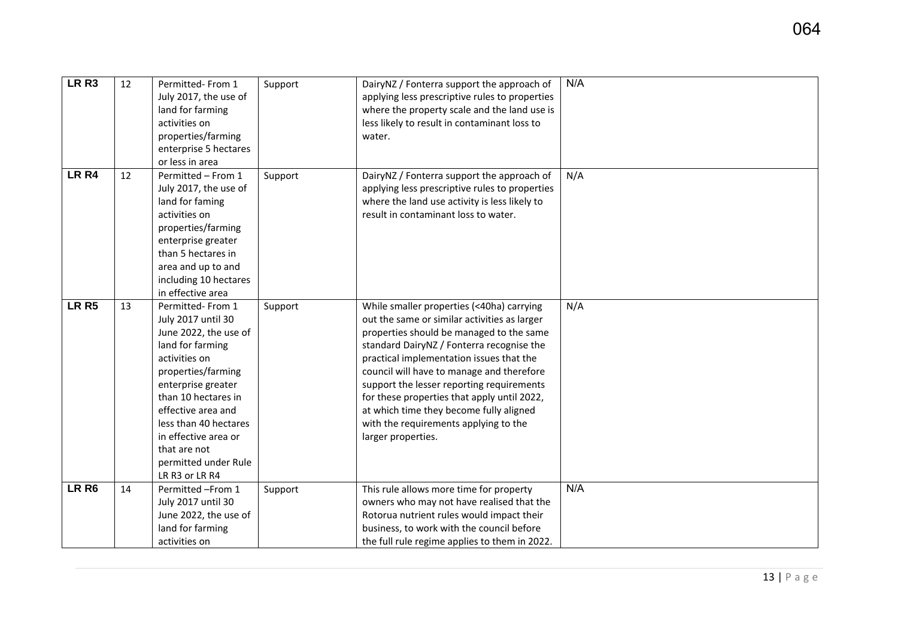| LR <sub>R3</sub> | 12 | Permitted-From 1<br>July 2017, the use of<br>land for farming<br>activities on<br>properties/farming<br>enterprise 5 hectares<br>or less in area                                                                                                                                                         | Support | DairyNZ / Fonterra support the approach of<br>applying less prescriptive rules to properties<br>where the property scale and the land use is<br>less likely to result in contaminant loss to<br>water.                                                                                                                                                                                                                                                                            | N/A |
|------------------|----|----------------------------------------------------------------------------------------------------------------------------------------------------------------------------------------------------------------------------------------------------------------------------------------------------------|---------|-----------------------------------------------------------------------------------------------------------------------------------------------------------------------------------------------------------------------------------------------------------------------------------------------------------------------------------------------------------------------------------------------------------------------------------------------------------------------------------|-----|
| LR <sub>R4</sub> | 12 | Permitted - From 1<br>July 2017, the use of<br>land for faming<br>activities on<br>properties/farming<br>enterprise greater<br>than 5 hectares in<br>area and up to and<br>including 10 hectares<br>in effective area                                                                                    | Support | DairyNZ / Fonterra support the approach of<br>applying less prescriptive rules to properties<br>where the land use activity is less likely to<br>result in contaminant loss to water.                                                                                                                                                                                                                                                                                             | N/A |
| <b>LR R5</b>     | 13 | Permitted-From 1<br>July 2017 until 30<br>June 2022, the use of<br>land for farming<br>activities on<br>properties/farming<br>enterprise greater<br>than 10 hectares in<br>effective area and<br>less than 40 hectares<br>in effective area or<br>that are not<br>permitted under Rule<br>LR R3 or LR R4 | Support | While smaller properties (<40ha) carrying<br>out the same or similar activities as larger<br>properties should be managed to the same<br>standard DairyNZ / Fonterra recognise the<br>practical implementation issues that the<br>council will have to manage and therefore<br>support the lesser reporting requirements<br>for these properties that apply until 2022,<br>at which time they become fully aligned<br>with the requirements applying to the<br>larger properties. | N/A |
| LR <sub>R6</sub> | 14 | Permitted-From 1<br>July 2017 until 30<br>June 2022, the use of<br>land for farming<br>activities on                                                                                                                                                                                                     | Support | This rule allows more time for property<br>owners who may not have realised that the<br>Rotorua nutrient rules would impact their<br>business, to work with the council before<br>the full rule regime applies to them in 2022.                                                                                                                                                                                                                                                   | N/A |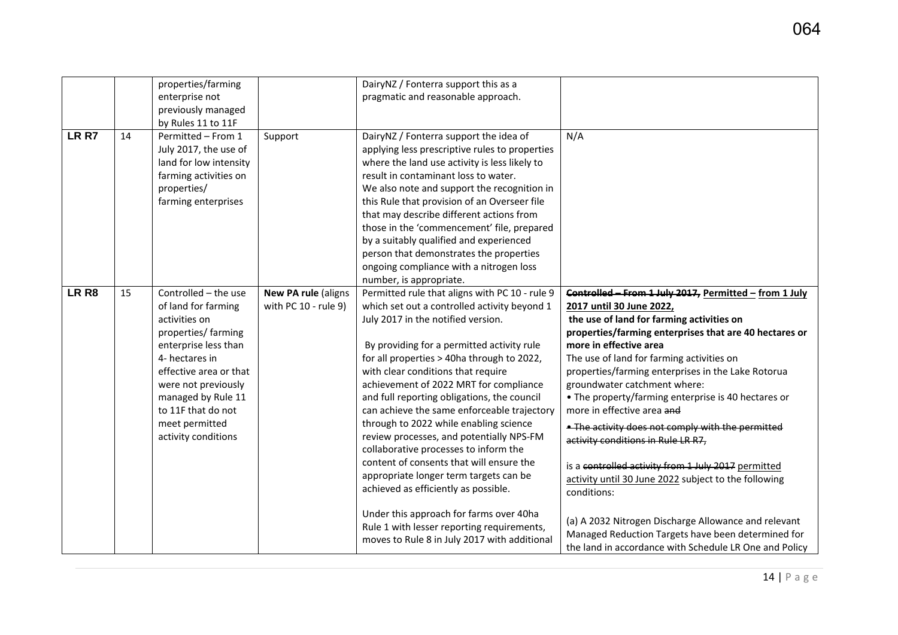|                  |    | properties/farming<br>enterprise not<br>previously managed<br>by Rules 11 to 11F                                                                                                                                                                                    |                                                     | DairyNZ / Fonterra support this as a<br>pragmatic and reasonable approach.                                                                                                                                                                                                                                                                                                                                                                                                                                                                                                                                                                                                                                                                                                                                           |                                                                                                                                                                                                                                                                                                                                                                                                                                                                                                                                                                                                                                                                                                                                                                                                                                              |
|------------------|----|---------------------------------------------------------------------------------------------------------------------------------------------------------------------------------------------------------------------------------------------------------------------|-----------------------------------------------------|----------------------------------------------------------------------------------------------------------------------------------------------------------------------------------------------------------------------------------------------------------------------------------------------------------------------------------------------------------------------------------------------------------------------------------------------------------------------------------------------------------------------------------------------------------------------------------------------------------------------------------------------------------------------------------------------------------------------------------------------------------------------------------------------------------------------|----------------------------------------------------------------------------------------------------------------------------------------------------------------------------------------------------------------------------------------------------------------------------------------------------------------------------------------------------------------------------------------------------------------------------------------------------------------------------------------------------------------------------------------------------------------------------------------------------------------------------------------------------------------------------------------------------------------------------------------------------------------------------------------------------------------------------------------------|
| LR R7            | 14 | Permitted - From 1<br>July 2017, the use of<br>land for low intensity<br>farming activities on<br>properties/<br>farming enterprises                                                                                                                                | Support                                             | DairyNZ / Fonterra support the idea of<br>applying less prescriptive rules to properties<br>where the land use activity is less likely to<br>result in contaminant loss to water.<br>We also note and support the recognition in<br>this Rule that provision of an Overseer file<br>that may describe different actions from<br>those in the 'commencement' file, prepared<br>by a suitably qualified and experienced<br>person that demonstrates the properties<br>ongoing compliance with a nitrogen loss<br>number, is appropriate.                                                                                                                                                                                                                                                                               | N/A                                                                                                                                                                                                                                                                                                                                                                                                                                                                                                                                                                                                                                                                                                                                                                                                                                          |
| LR <sub>R8</sub> | 15 | Controlled - the use<br>of land for farming<br>activities on<br>properties/ farming<br>enterprise less than<br>4- hectares in<br>effective area or that<br>were not previously<br>managed by Rule 11<br>to 11F that do not<br>meet permitted<br>activity conditions | <b>New PA rule (aligns)</b><br>with PC 10 - rule 9) | Permitted rule that aligns with PC 10 - rule 9<br>which set out a controlled activity beyond 1<br>July 2017 in the notified version.<br>By providing for a permitted activity rule<br>for all properties > 40ha through to 2022,<br>with clear conditions that require<br>achievement of 2022 MRT for compliance<br>and full reporting obligations, the council<br>can achieve the same enforceable trajectory<br>through to 2022 while enabling science<br>review processes, and potentially NPS-FM<br>collaborative processes to inform the<br>content of consents that will ensure the<br>appropriate longer term targets can be<br>achieved as efficiently as possible.<br>Under this approach for farms over 40ha<br>Rule 1 with lesser reporting requirements,<br>moves to Rule 8 in July 2017 with additional | Controlled - From 1 July 2017, Permitted - from 1 July<br>2017 until 30 June 2022,<br>the use of land for farming activities on<br>properties/farming enterprises that are 40 hectares or<br>more in effective area<br>The use of land for farming activities on<br>properties/farming enterprises in the Lake Rotorua<br>groundwater catchment where:<br>• The property/farming enterprise is 40 hectares or<br>more in effective area and<br>. The activity does not comply with the permitted<br>activity conditions in Rule LR R7,<br>is a controlled activity from 1 July 2017 permitted<br>activity until 30 June 2022 subject to the following<br>conditions:<br>(a) A 2032 Nitrogen Discharge Allowance and relevant<br>Managed Reduction Targets have been determined for<br>the land in accordance with Schedule LR One and Policy |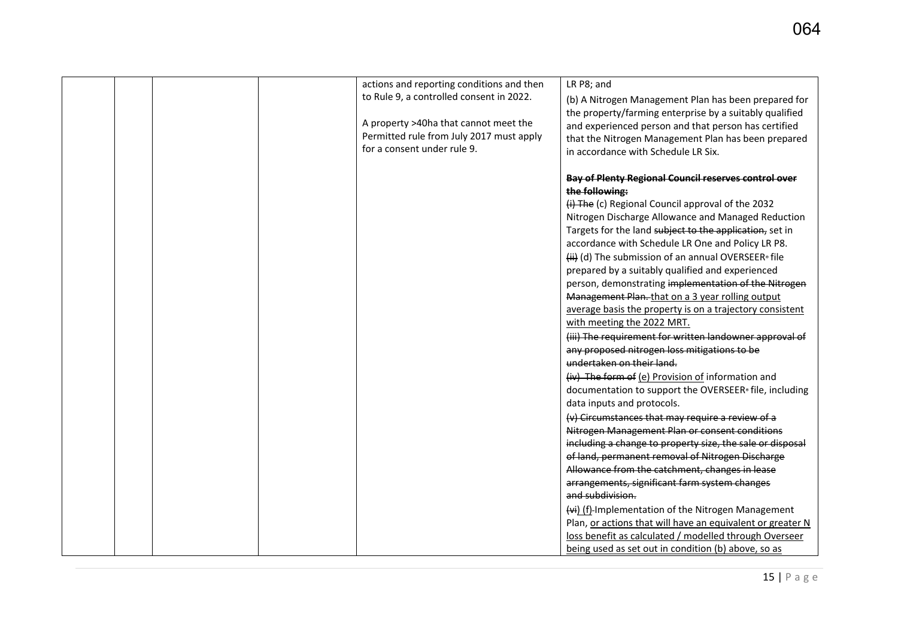|  |  |  | actions and reporting conditions and then<br>to Rule 9, a controlled consent in 2022.<br>A property >40ha that cannot meet the<br>Permitted rule from July 2017 must apply<br>for a consent under rule 9. | LR P8; and<br>(b) A Nitrogen Management Plan has been prepared for<br>the property/farming enterprise by a suitably qualified<br>and experienced person and that person has certified<br>that the Nitrogen Management Plan has been prepared<br>in accordance with Schedule LR Six.<br><b>Bay of Plenty Regional Council reserves control over</b><br>the following:<br>(i) The (c) Regional Council approval of the 2032<br>Nitrogen Discharge Allowance and Managed Reduction<br>Targets for the land subject to the application, set in<br>accordance with Schedule LR One and Policy LR P8.<br>(ii) (d) The submission of an annual OVERSEER® file<br>prepared by a suitably qualified and experienced<br>person, demonstrating implementation of the Nitrogen<br>Management Plan. that on a 3 year rolling output<br>average basis the property is on a trajectory consistent<br>with meeting the 2022 MRT.<br>(iii) The requirement for written landowner approval of<br>any proposed nitrogen loss mitigations to be<br>undertaken on their land.<br>(iv) The form of (e) Provision of information and<br>documentation to support the OVERSEER® file, including<br>data inputs and protocols.<br>(v) Circumstances that may require a review of a<br>Nitrogen Management Plan or consent conditions<br>including a change to property size, the sale or disposal<br>of land, permanent removal of Nitrogen Discharge<br>Allowance from the catchment, changes in lease<br>arrangements, significant farm system changes<br>and subdivision.<br>(vi) (f)-Implementation of the Nitrogen Management<br>Plan, or actions that will have an equivalent or greater N<br>loss benefit as calculated / modelled through Overseer<br>being used as set out in condition (b) above, so as |
|--|--|--|-----------------------------------------------------------------------------------------------------------------------------------------------------------------------------------------------------------|------------------------------------------------------------------------------------------------------------------------------------------------------------------------------------------------------------------------------------------------------------------------------------------------------------------------------------------------------------------------------------------------------------------------------------------------------------------------------------------------------------------------------------------------------------------------------------------------------------------------------------------------------------------------------------------------------------------------------------------------------------------------------------------------------------------------------------------------------------------------------------------------------------------------------------------------------------------------------------------------------------------------------------------------------------------------------------------------------------------------------------------------------------------------------------------------------------------------------------------------------------------------------------------------------------------------------------------------------------------------------------------------------------------------------------------------------------------------------------------------------------------------------------------------------------------------------------------------------------------------------------------------------------------------------------------------------------------------------------------------------------------------------------------|
|--|--|--|-----------------------------------------------------------------------------------------------------------------------------------------------------------------------------------------------------------|------------------------------------------------------------------------------------------------------------------------------------------------------------------------------------------------------------------------------------------------------------------------------------------------------------------------------------------------------------------------------------------------------------------------------------------------------------------------------------------------------------------------------------------------------------------------------------------------------------------------------------------------------------------------------------------------------------------------------------------------------------------------------------------------------------------------------------------------------------------------------------------------------------------------------------------------------------------------------------------------------------------------------------------------------------------------------------------------------------------------------------------------------------------------------------------------------------------------------------------------------------------------------------------------------------------------------------------------------------------------------------------------------------------------------------------------------------------------------------------------------------------------------------------------------------------------------------------------------------------------------------------------------------------------------------------------------------------------------------------------------------------------------------------|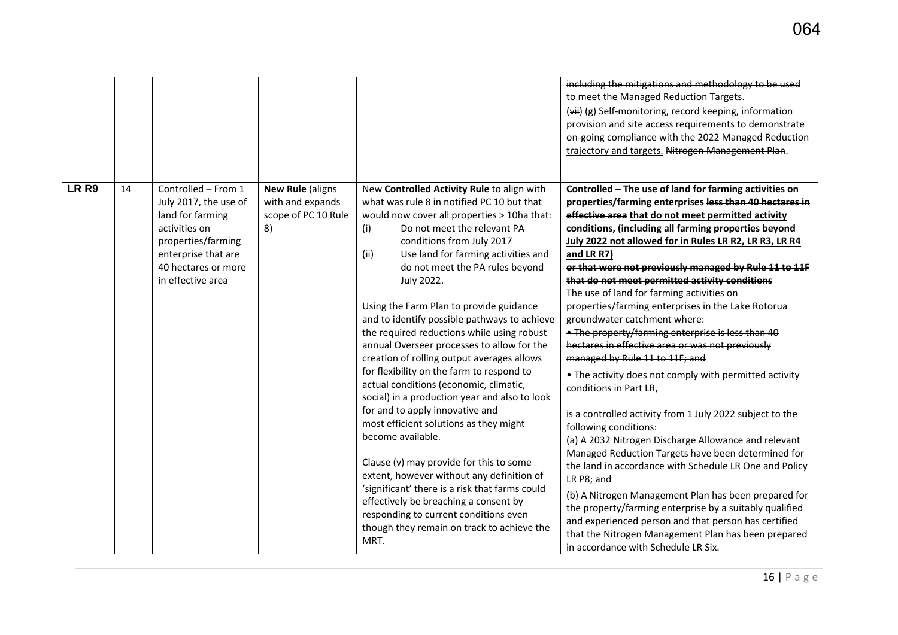|                  |    |                                                                                                                                                                            |                                                                           |                                                                                                                                                                                                                                                                                                                                                                                                                                                                                                                                                                                                                                                                                                                                                                                                                                                                                                                                                                                                                                                                             | including the mitigations and methodology to be used<br>to meet the Managed Reduction Targets.<br>$(\star$ ii) (g) Self-monitoring, record keeping, information<br>provision and site access requirements to demonstrate<br>on-going compliance with the 2022 Managed Reduction<br>trajectory and targets. Nitrogen Management Plan.                                                                                                                                                                                                                                                                                                                                                                                                                                                                                                                                                                                                                                                                                                                                                                                                                                                                                                                                                                                                     |
|------------------|----|----------------------------------------------------------------------------------------------------------------------------------------------------------------------------|---------------------------------------------------------------------------|-----------------------------------------------------------------------------------------------------------------------------------------------------------------------------------------------------------------------------------------------------------------------------------------------------------------------------------------------------------------------------------------------------------------------------------------------------------------------------------------------------------------------------------------------------------------------------------------------------------------------------------------------------------------------------------------------------------------------------------------------------------------------------------------------------------------------------------------------------------------------------------------------------------------------------------------------------------------------------------------------------------------------------------------------------------------------------|------------------------------------------------------------------------------------------------------------------------------------------------------------------------------------------------------------------------------------------------------------------------------------------------------------------------------------------------------------------------------------------------------------------------------------------------------------------------------------------------------------------------------------------------------------------------------------------------------------------------------------------------------------------------------------------------------------------------------------------------------------------------------------------------------------------------------------------------------------------------------------------------------------------------------------------------------------------------------------------------------------------------------------------------------------------------------------------------------------------------------------------------------------------------------------------------------------------------------------------------------------------------------------------------------------------------------------------|
| LR <sub>R9</sub> | 14 | Controlled - From 1<br>July 2017, the use of<br>land for farming<br>activities on<br>properties/farming<br>enterprise that are<br>40 hectares or more<br>in effective area | <b>New Rule (aligns)</b><br>with and expands<br>scope of PC 10 Rule<br>8) | New Controlled Activity Rule to align with<br>what was rule 8 in notified PC 10 but that<br>would now cover all properties > 10ha that:<br>Do not meet the relevant PA<br>(i)<br>conditions from July 2017<br>Use land for farming activities and<br>(ii)<br>do not meet the PA rules beyond<br>July 2022.<br>Using the Farm Plan to provide guidance<br>and to identify possible pathways to achieve<br>the required reductions while using robust<br>annual Overseer processes to allow for the<br>creation of rolling output averages allows<br>for flexibility on the farm to respond to<br>actual conditions (economic, climatic,<br>social) in a production year and also to look<br>for and to apply innovative and<br>most efficient solutions as they might<br>become available.<br>Clause (v) may provide for this to some<br>extent, however without any definition of<br>'significant' there is a risk that farms could<br>effectively be breaching a consent by<br>responding to current conditions even<br>though they remain on track to achieve the<br>MRT. | Controlled - The use of land for farming activities on<br>properties/farming enterprises less than 40 hectares in<br>effective area that do not meet permitted activity<br>conditions, (including all farming properties beyond<br>July 2022 not allowed for in Rules LR R2, LR R3, LR R4<br>and LR R7)<br>or that were not previously managed by Rule 11 to 11F<br>that do not meet permitted activity conditions<br>The use of land for farming activities on<br>properties/farming enterprises in the Lake Rotorua<br>groundwater catchment where:<br>. The property/farming enterprise is less than 40<br>hectares in effective area or was not previously<br>managed by Rule 11 to 11F; and<br>• The activity does not comply with permitted activity<br>conditions in Part LR,<br>is a controlled activity from 1 July 2022 subject to the<br>following conditions:<br>(a) A 2032 Nitrogen Discharge Allowance and relevant<br>Managed Reduction Targets have been determined for<br>the land in accordance with Schedule LR One and Policy<br>LR P8; and<br>(b) A Nitrogen Management Plan has been prepared for<br>the property/farming enterprise by a suitably qualified<br>and experienced person and that person has certified<br>that the Nitrogen Management Plan has been prepared<br>in accordance with Schedule LR Six. |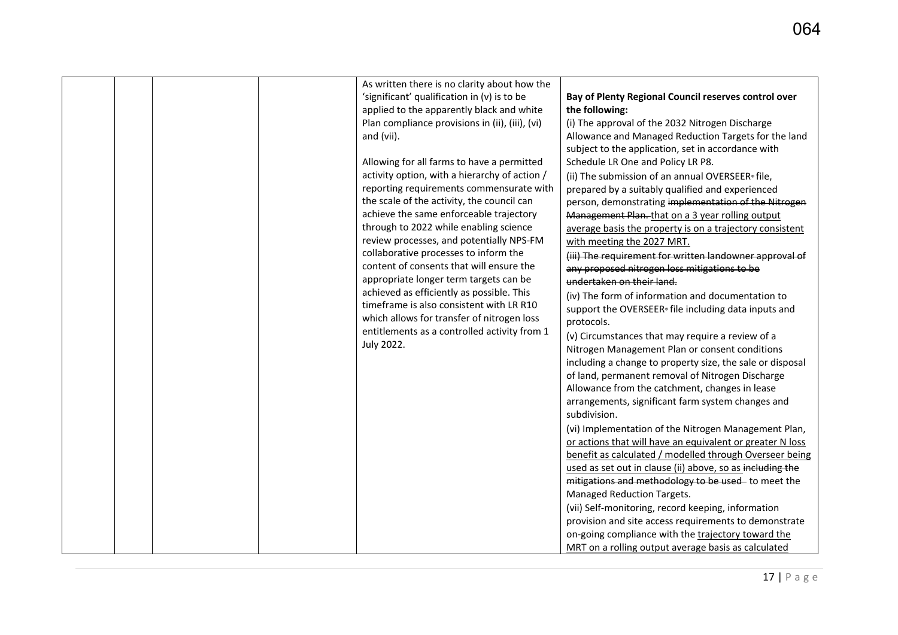|  | As written there is no clarity about how the<br>'significant' qualification in (v) is to be<br>applied to the apparently black and white<br>Plan compliance provisions in (ii), (iii), (vi)<br>and (vii).<br>Allowing for all farms to have a permitted<br>activity option, with a hierarchy of action /<br>reporting requirements commensurate with<br>the scale of the activity, the council can<br>achieve the same enforceable trajectory<br>through to 2022 while enabling science<br>review processes, and potentially NPS-FM<br>collaborative processes to inform the<br>content of consents that will ensure the<br>appropriate longer term targets can be<br>achieved as efficiently as possible. This<br>timeframe is also consistent with LR R10<br>which allows for transfer of nitrogen loss<br>entitlements as a controlled activity from 1<br>July 2022. | Bay of Plenty Regional Council reserves control over<br>the following:<br>(i) The approval of the 2032 Nitrogen Discharge<br>Allowance and Managed Reduction Targets for the land<br>subject to the application, set in accordance with<br>Schedule LR One and Policy LR P8.<br>(ii) The submission of an annual OVERSEER® file,<br>prepared by a suitably qualified and experienced<br>person, demonstrating implementation of the Nitrogen<br>Management Plan. that on a 3 year rolling output<br>average basis the property is on a trajectory consistent<br>with meeting the 2027 MRT.<br>(iii) The requirement for written landowner approval of<br>any proposed nitrogen loss mitigations to be<br>undertaken on their land.<br>(iv) The form of information and documentation to<br>support the OVERSEER® file including data inputs and<br>protocols.<br>(v) Circumstances that may require a review of a<br>Nitrogen Management Plan or consent conditions<br>including a change to property size, the sale or disposal<br>of land, permanent removal of Nitrogen Discharge<br>Allowance from the catchment, changes in lease<br>arrangements, significant farm system changes and<br>subdivision.<br>(vi) Implementation of the Nitrogen Management Plan,<br>or actions that will have an equivalent or greater N loss<br>benefit as calculated / modelled through Overseer being<br>used as set out in clause (ii) above, so as including the<br>mitigations and methodology to be used - to meet the<br>Managed Reduction Targets.<br>(vii) Self-monitoring, record keeping, information<br>provision and site access requirements to demonstrate<br>on-going compliance with the trajectory toward the<br>MRT on a rolling output average basis as calculated |
|--|-------------------------------------------------------------------------------------------------------------------------------------------------------------------------------------------------------------------------------------------------------------------------------------------------------------------------------------------------------------------------------------------------------------------------------------------------------------------------------------------------------------------------------------------------------------------------------------------------------------------------------------------------------------------------------------------------------------------------------------------------------------------------------------------------------------------------------------------------------------------------|----------------------------------------------------------------------------------------------------------------------------------------------------------------------------------------------------------------------------------------------------------------------------------------------------------------------------------------------------------------------------------------------------------------------------------------------------------------------------------------------------------------------------------------------------------------------------------------------------------------------------------------------------------------------------------------------------------------------------------------------------------------------------------------------------------------------------------------------------------------------------------------------------------------------------------------------------------------------------------------------------------------------------------------------------------------------------------------------------------------------------------------------------------------------------------------------------------------------------------------------------------------------------------------------------------------------------------------------------------------------------------------------------------------------------------------------------------------------------------------------------------------------------------------------------------------------------------------------------------------------------------------------------------------------------------------------------------------------------------------------------------------------------|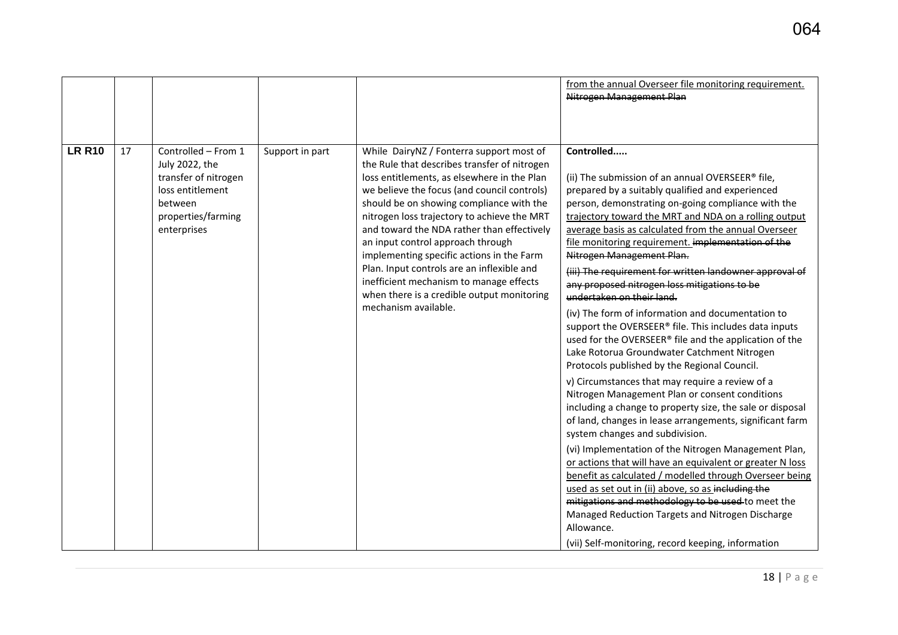|               |    |                                                                                                                                   |                 |                                                                                                                                                                                                                                                                                                                                                                                                                                                                                                                                                                                  | from the annual Overseer file monitoring requirement.<br>Nitrogen Management Plan                                                                                                                                                                                                                                                                                                                                                                                                                                                                                                                                                                                                                                                                                                                                                                                                                                                                                                                                                                                                                                                                                                                                                                                                                                                                                                                                                                                                |
|---------------|----|-----------------------------------------------------------------------------------------------------------------------------------|-----------------|----------------------------------------------------------------------------------------------------------------------------------------------------------------------------------------------------------------------------------------------------------------------------------------------------------------------------------------------------------------------------------------------------------------------------------------------------------------------------------------------------------------------------------------------------------------------------------|----------------------------------------------------------------------------------------------------------------------------------------------------------------------------------------------------------------------------------------------------------------------------------------------------------------------------------------------------------------------------------------------------------------------------------------------------------------------------------------------------------------------------------------------------------------------------------------------------------------------------------------------------------------------------------------------------------------------------------------------------------------------------------------------------------------------------------------------------------------------------------------------------------------------------------------------------------------------------------------------------------------------------------------------------------------------------------------------------------------------------------------------------------------------------------------------------------------------------------------------------------------------------------------------------------------------------------------------------------------------------------------------------------------------------------------------------------------------------------|
| <b>LR R10</b> | 17 | Controlled - From 1<br>July 2022, the<br>transfer of nitrogen<br>loss entitlement<br>between<br>properties/farming<br>enterprises | Support in part | While DairyNZ / Fonterra support most of<br>the Rule that describes transfer of nitrogen<br>loss entitlements, as elsewhere in the Plan<br>we believe the focus (and council controls)<br>should be on showing compliance with the<br>nitrogen loss trajectory to achieve the MRT<br>and toward the NDA rather than effectively<br>an input control approach through<br>implementing specific actions in the Farm<br>Plan. Input controls are an inflexible and<br>inefficient mechanism to manage effects<br>when there is a credible output monitoring<br>mechanism available. | Controlled<br>(ii) The submission of an annual OVERSEER® file,<br>prepared by a suitably qualified and experienced<br>person, demonstrating on-going compliance with the<br>trajectory toward the MRT and NDA on a rolling output<br>average basis as calculated from the annual Overseer<br>file monitoring requirement. implementation of the<br>Nitrogen Management Plan.<br>(iii) The requirement for written landowner approval of<br>any proposed nitrogen loss mitigations to be<br>undertaken on their land.<br>(iv) The form of information and documentation to<br>support the OVERSEER® file. This includes data inputs<br>used for the OVERSEER® file and the application of the<br>Lake Rotorua Groundwater Catchment Nitrogen<br>Protocols published by the Regional Council.<br>v) Circumstances that may require a review of a<br>Nitrogen Management Plan or consent conditions<br>including a change to property size, the sale or disposal<br>of land, changes in lease arrangements, significant farm<br>system changes and subdivision.<br>(vi) Implementation of the Nitrogen Management Plan,<br>or actions that will have an equivalent or greater N loss<br>benefit as calculated / modelled through Overseer being<br>used as set out in (ii) above, so as including the<br>mitigations and methodology to be used to meet the<br>Managed Reduction Targets and Nitrogen Discharge<br>Allowance.<br>(vii) Self-monitoring, record keeping, information |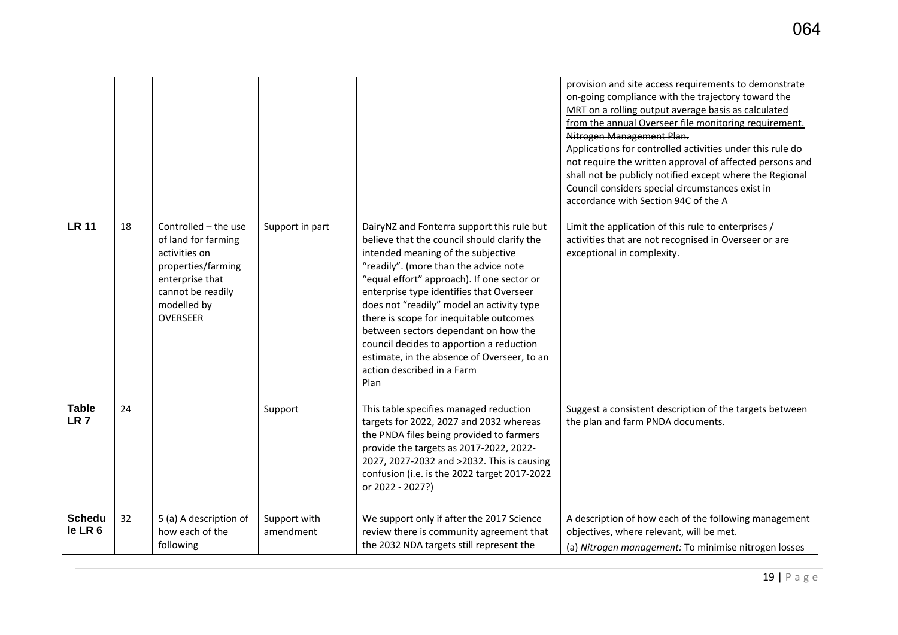|                                 |    |                                                                                                                                                              |                           |                                                                                                                                                                                                                                                                                                                                                                                                                                                                                                                                     | provision and site access requirements to demonstrate<br>on-going compliance with the trajectory toward the<br>MRT on a rolling output average basis as calculated<br>from the annual Overseer file monitoring requirement.<br>Nitrogen Management Plan.<br>Applications for controlled activities under this rule do<br>not require the written approval of affected persons and<br>shall not be publicly notified except where the Regional<br>Council considers special circumstances exist in<br>accordance with Section 94C of the A |
|---------------------------------|----|--------------------------------------------------------------------------------------------------------------------------------------------------------------|---------------------------|-------------------------------------------------------------------------------------------------------------------------------------------------------------------------------------------------------------------------------------------------------------------------------------------------------------------------------------------------------------------------------------------------------------------------------------------------------------------------------------------------------------------------------------|-------------------------------------------------------------------------------------------------------------------------------------------------------------------------------------------------------------------------------------------------------------------------------------------------------------------------------------------------------------------------------------------------------------------------------------------------------------------------------------------------------------------------------------------|
| <b>LR 11</b>                    | 18 | Controlled - the use<br>of land for farming<br>activities on<br>properties/farming<br>enterprise that<br>cannot be readily<br>modelled by<br><b>OVERSEER</b> | Support in part           | DairyNZ and Fonterra support this rule but<br>believe that the council should clarify the<br>intended meaning of the subjective<br>"readily". (more than the advice note<br>"equal effort" approach). If one sector or<br>enterprise type identifies that Overseer<br>does not "readily" model an activity type<br>there is scope for inequitable outcomes<br>between sectors dependant on how the<br>council decides to apportion a reduction<br>estimate, in the absence of Overseer, to an<br>action described in a Farm<br>Plan | Limit the application of this rule to enterprises /<br>activities that are not recognised in Overseer or are<br>exceptional in complexity.                                                                                                                                                                                                                                                                                                                                                                                                |
| <b>Table</b><br>LR <sub>7</sub> | 24 |                                                                                                                                                              | Support                   | This table specifies managed reduction<br>targets for 2022, 2027 and 2032 whereas<br>the PNDA files being provided to farmers<br>provide the targets as 2017-2022, 2022-<br>2027, 2027-2032 and >2032. This is causing<br>confusion (i.e. is the 2022 target 2017-2022<br>or 2022 - 2027?)                                                                                                                                                                                                                                          | Suggest a consistent description of the targets between<br>the plan and farm PNDA documents.                                                                                                                                                                                                                                                                                                                                                                                                                                              |
| <b>Schedu</b><br>le LR 6        | 32 | 5 (a) A description of<br>how each of the<br>following                                                                                                       | Support with<br>amendment | We support only if after the 2017 Science<br>review there is community agreement that<br>the 2032 NDA targets still represent the                                                                                                                                                                                                                                                                                                                                                                                                   | A description of how each of the following management<br>objectives, where relevant, will be met.<br>(a) Nitrogen management: To minimise nitrogen losses                                                                                                                                                                                                                                                                                                                                                                                 |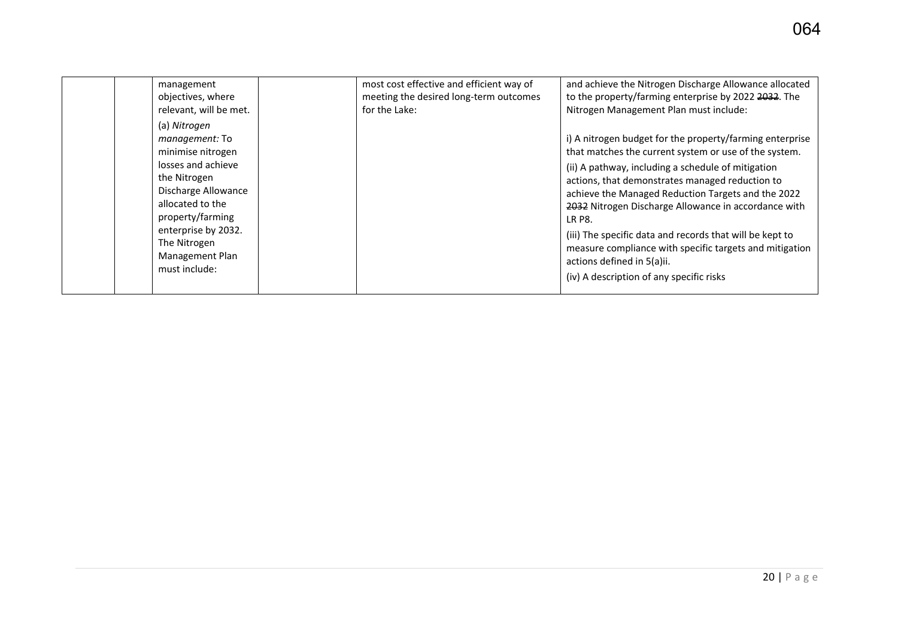| (a) Nitrogen<br>management: To<br>that matches the current system or use of the system.<br>minimise nitrogen<br>losses and achieve<br>(ii) A pathway, including a schedule of mitigation<br>the Nitrogen<br>actions, that demonstrates managed reduction to<br>Discharge Allowance<br>achieve the Managed Reduction Targets and the 2022<br>allocated to the<br>property/farming<br>LR P8.<br>enterprise by 2032.<br>(iii) The specific data and records that will be kept to<br>The Nitrogen<br>Management Plan | management<br>objectives, where<br>relevant, will be met. | most cost effective and efficient way of<br>meeting the desired long-term outcomes<br>for the Lake: | and achieve the Nitrogen Discharge Allowance allocated<br>to the property/farming enterprise by 2022 2032. The<br>Nitrogen Management Plan must include:                                                  |
|------------------------------------------------------------------------------------------------------------------------------------------------------------------------------------------------------------------------------------------------------------------------------------------------------------------------------------------------------------------------------------------------------------------------------------------------------------------------------------------------------------------|-----------------------------------------------------------|-----------------------------------------------------------------------------------------------------|-----------------------------------------------------------------------------------------------------------------------------------------------------------------------------------------------------------|
| must include:<br>(iv) A description of any specific risks                                                                                                                                                                                                                                                                                                                                                                                                                                                        |                                                           |                                                                                                     | i) A nitrogen budget for the property/farming enterprise<br>2032 Nitrogen Discharge Allowance in accordance with<br>measure compliance with specific targets and mitigation<br>actions defined in 5(a)ii. |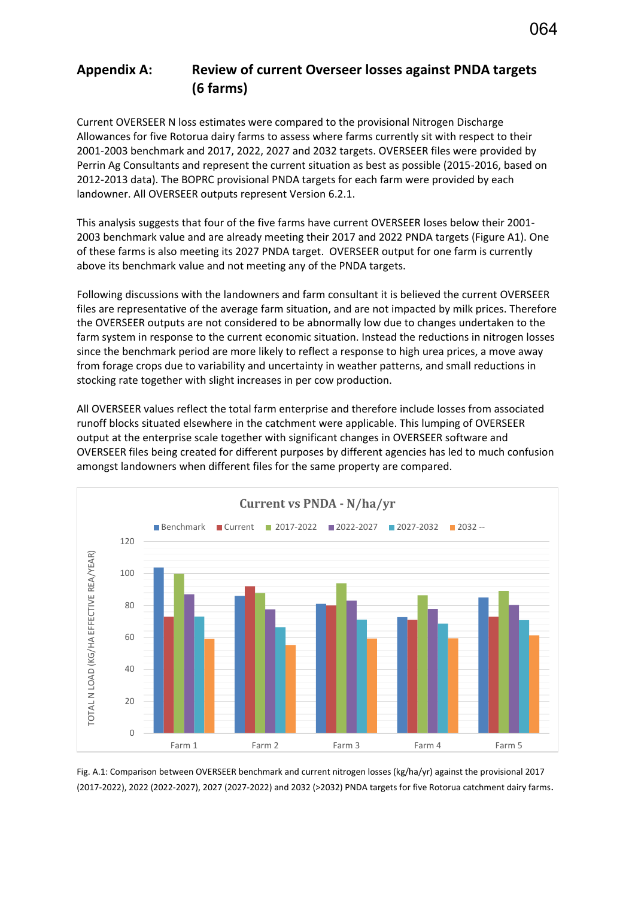## **Appendix A: Review of current Overseer losses against PNDA targets (6 farms)**

Current OVERSEER N loss estimates were compared to the provisional Nitrogen Discharge Allowances for five Rotorua dairy farms to assess where farms currently sit with respect to their 2001-2003 benchmark and 2017, 2022, 2027 and 2032 targets. OVERSEER files were provided by Perrin Ag Consultants and represent the current situation as best as possible (2015-2016, based on 2012-2013 data). The BOPRC provisional PNDA targets for each farm were provided by each landowner. All OVERSEER outputs represent Version 6.2.1.

This analysis suggests that four of the five farms have current OVERSEER loses below their 2001- 2003 benchmark value and are already meeting their 2017 and 2022 PNDA targets (Figure A1). One of these farms is also meeting its 2027 PNDA target. OVERSEER output for one farm is currently above its benchmark value and not meeting any of the PNDA targets.

Following discussions with the landowners and farm consultant it is believed the current OVERSEER files are representative of the average farm situation, and are not impacted by milk prices. Therefore the OVERSEER outputs are not considered to be abnormally low due to changes undertaken to the farm system in response to the current economic situation. Instead the reductions in nitrogen losses since the benchmark period are more likely to reflect a response to high urea prices, a move away from forage crops due to variability and uncertainty in weather patterns, and small reductions in stocking rate together with slight increases in per cow production.

All OVERSEER values reflect the total farm enterprise and therefore include losses from associated runoff blocks situated elsewhere in the catchment were applicable. This lumping of OVERSEER output at the enterprise scale together with significant changes in OVERSEER software and OVERSEER files being created for different purposes by different agencies has led to much confusion amongst landowners when different files for the same property are compared.



Fig. A.1: Comparison between OVERSEER benchmark and current nitrogen losses (kg/ha/yr) against the provisional 2017 (2017-2022), 2022 (2022-2027), 2027 (2027-2022) and 2032 (>2032) PNDA targets for five Rotorua catchment dairy farms.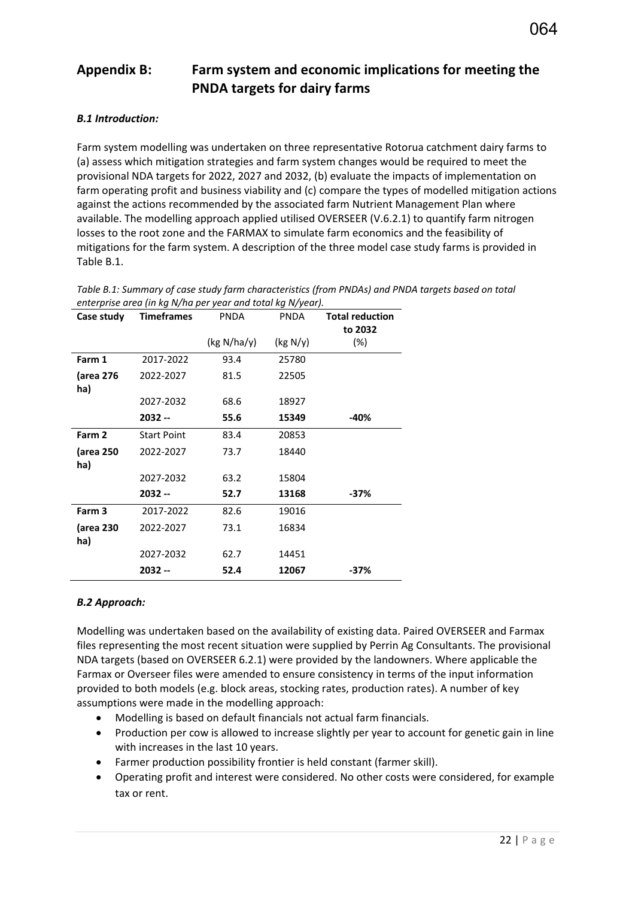## **Appendix B: Farm system and economic implications for meeting the PNDA targets for dairy farms**

### *B.1 Introduction:*

Farm system modelling was undertaken on three representative Rotorua catchment dairy farms to (a) assess which mitigation strategies and farm system changes would be required to meet the provisional NDA targets for 2022, 2027 and 2032, (b) evaluate the impacts of implementation on farm operating profit and business viability and (c) compare the types of modelled mitigation actions against the actions recommended by the associated farm Nutrient Management Plan where available. The modelling approach applied utilised OVERSEER (V.6.2.1) to quantify farm nitrogen losses to the root zone and the FARMAX to simulate farm economics and the feasibility of mitigations for the farm system. A description of the three model case study farms is provided in Table B.1.

| Case study       | <b>Timeframes</b>  | <b>PNDA</b> | <b>PNDA</b> | <b>Total reduction</b><br>to 2032 |
|------------------|--------------------|-------------|-------------|-----------------------------------|
|                  |                    | (kg N/ha/y) | (kg N/y)    | $(\%)$                            |
| Farm 1           | 2017-2022          | 93.4        | 25780       |                                   |
| (area 276<br>ha) | 2022-2027          | 81.5        | 22505       |                                   |
|                  | 2027-2032          | 68.6        | 18927       |                                   |
|                  | 2032 --            | 55.6        | 15349       | -40%                              |
| Farm 2           | <b>Start Point</b> | 83.4        | 20853       |                                   |
| (area 250<br>ha) | 2022-2027          | 73.7        | 18440       |                                   |
|                  | 2027-2032          | 63.2        | 15804       |                                   |
|                  | 2032 --            | 52.7        | 13168       | -37%                              |
| Farm 3           | 2017-2022          | 82.6        | 19016       |                                   |
| (area 230<br>ha) | 2022-2027          | 73.1        | 16834       |                                   |
|                  | 2027-2032          | 62.7        | 14451       |                                   |
|                  | 2032 --            | 52.4        | 12067       | $-37%$                            |

*Table B.1: Summary of case study farm characteristics (from PNDAs) and PNDA targets based on total enterprise area (in kg N/ha per year and total kg N/year).* 

## *B.2 Approach:*

Modelling was undertaken based on the availability of existing data. Paired OVERSEER and Farmax files representing the most recent situation were supplied by Perrin Ag Consultants. The provisional NDA targets (based on OVERSEER 6.2.1) were provided by the landowners. Where applicable the Farmax or Overseer files were amended to ensure consistency in terms of the input information provided to both models (e.g. block areas, stocking rates, production rates). A number of key assumptions were made in the modelling approach:

- Modelling is based on default financials not actual farm financials.
- Production per cow is allowed to increase slightly per year to account for genetic gain in line with increases in the last 10 years.
- Farmer production possibility frontier is held constant (farmer skill).
- Operating profit and interest were considered. No other costs were considered, for example tax or rent.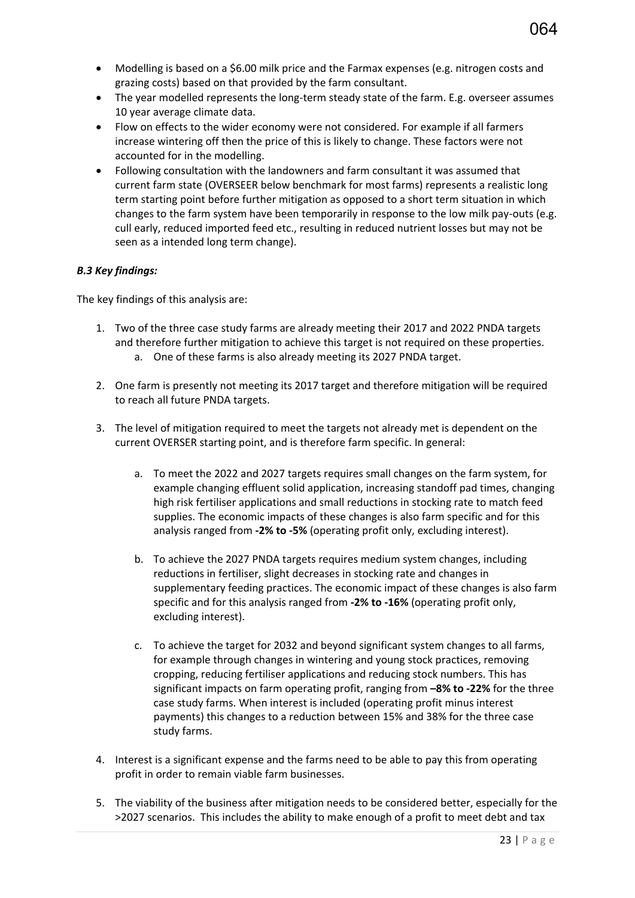- Modelling is based on a \$6.00 milk price and the Farmax expenses (e.g. nitrogen costs and grazing costs) based on that provided by the farm consultant.
- The year modelled represents the long-term steady state of the farm. E.g. overseer assumes 10 year average climate data.
- Flow on effects to the wider economy were not considered. For example if all farmers increase wintering off then the price of this is likely to change. These factors were not accounted for in the modelling.
- Following consultation with the landowners and farm consultant it was assumed that current farm state (OVERSEER below benchmark for most farms) represents a realistic long term starting point before further mitigation as opposed to a short term situation in which changes to the farm system have been temporarily in response to the low milk pay-outs (e.g. cull early, reduced imported feed etc., resulting in reduced nutrient losses but may not be seen as a intended long term change).

## *B.3 Key findings:*

The key findings of this analysis are:

- 1. Two of the three case study farms are already meeting their 2017 and 2022 PNDA targets and therefore further mitigation to achieve this target is not required on these properties. a. One of these farms is also already meeting its 2027 PNDA target.
- 2. One farm is presently not meeting its 2017 target and therefore mitigation will be required to reach all future PNDA targets.
- 3. The level of mitigation required to meet the targets not already met is dependent on the current OVERSER starting point, and is therefore farm specific. In general:
	- a. To meet the 2022 and 2027 targets requires small changes on the farm system, for example changing effluent solid application, increasing standoff pad times, changing high risk fertiliser applications and small reductions in stocking rate to match feed supplies. The economic impacts of these changes is also farm specific and for this analysis ranged from **-2% to -5%** (operating profit only, excluding interest).
	- b. To achieve the 2027 PNDA targets requires medium system changes, including reductions in fertiliser, slight decreases in stocking rate and changes in supplementary feeding practices. The economic impact of these changes is also farm specific and for this analysis ranged from **-2% to -16%** (operating profit only, excluding interest).
	- c. To achieve the target for 2032 and beyond significant system changes to all farms, for example through changes in wintering and young stock practices, removing cropping, reducing fertiliser applications and reducing stock numbers. This has significant impacts on farm operating profit, ranging from **–8% to -22%** for the three case study farms. When interest is included (operating profit minus interest payments) this changes to a reduction between 15% and 38% for the three case study farms.
- 4. Interest is a significant expense and the farms need to be able to pay this from operating profit in order to remain viable farm businesses.
- 5. The viability of the business after mitigation needs to be considered better, especially for the >2027 scenarios. This includes the ability to make enough of a profit to meet debt and tax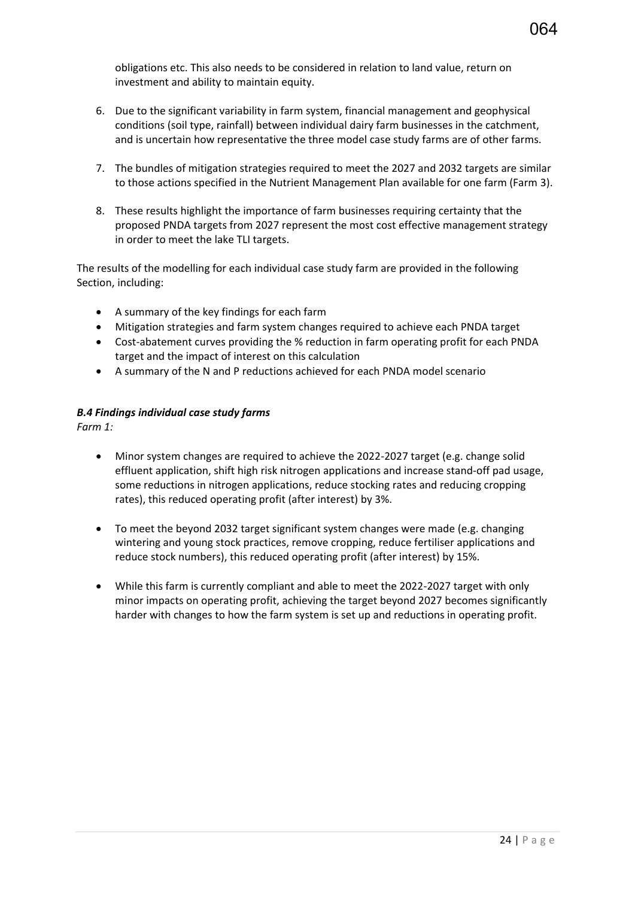- 6. Due to the significant variability in farm system, financial management and geophysical conditions (soil type, rainfall) between individual dairy farm businesses in the catchment, and is uncertain how representative the three model case study farms are of other farms.
- 7. The bundles of mitigation strategies required to meet the 2027 and 2032 targets are similar to those actions specified in the Nutrient Management Plan available for one farm (Farm 3).
- 8. These results highlight the importance of farm businesses requiring certainty that the proposed PNDA targets from 2027 represent the most cost effective management strategy in order to meet the lake TLI targets.

The results of the modelling for each individual case study farm are provided in the following Section, including:

- A summary of the key findings for each farm
- Mitigation strategies and farm system changes required to achieve each PNDA target
- Cost-abatement curves providing the % reduction in farm operating profit for each PNDA target and the impact of interest on this calculation
- A summary of the N and P reductions achieved for each PNDA model scenario

### *B.4 Findings individual case study farms*

*Farm 1:* 

- Minor system changes are required to achieve the 2022-2027 target (e.g. change solid effluent application, shift high risk nitrogen applications and increase stand-off pad usage, some reductions in nitrogen applications, reduce stocking rates and reducing cropping rates), this reduced operating profit (after interest) by 3%.
- To meet the beyond 2032 target significant system changes were made (e.g. changing wintering and young stock practices, remove cropping, reduce fertiliser applications and reduce stock numbers), this reduced operating profit (after interest) by 15%.
- While this farm is currently compliant and able to meet the 2022-2027 target with only minor impacts on operating profit, achieving the target beyond 2027 becomes significantly harder with changes to how the farm system is set up and reductions in operating profit.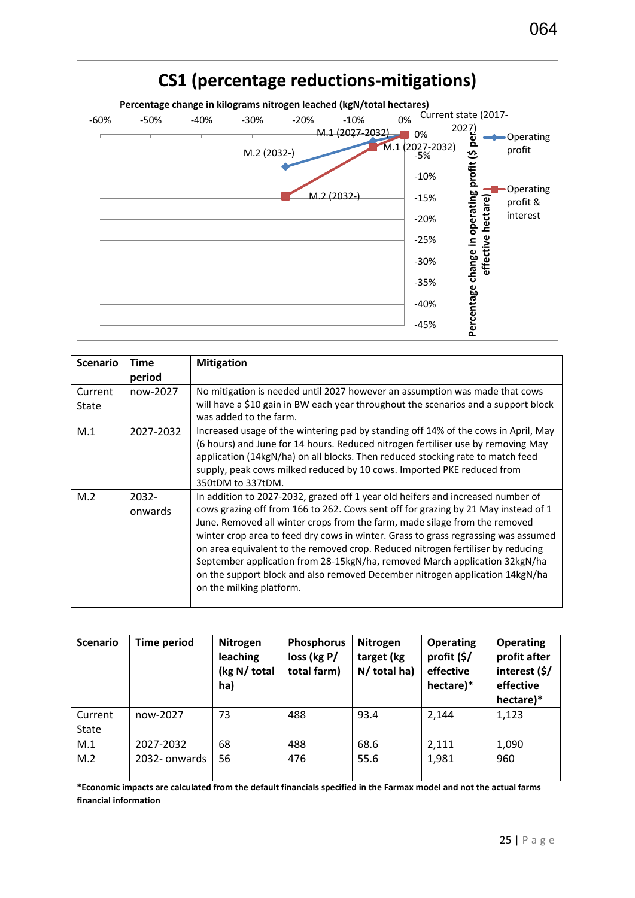

| <b>Scenario</b>  | <b>Time</b><br>period | <b>Mitigation</b>                                                                                                                                                                                                                                                                                                                                                                                                                                                                                                                                                                                                      |
|------------------|-----------------------|------------------------------------------------------------------------------------------------------------------------------------------------------------------------------------------------------------------------------------------------------------------------------------------------------------------------------------------------------------------------------------------------------------------------------------------------------------------------------------------------------------------------------------------------------------------------------------------------------------------------|
| Current<br>State | now-2027              | No mitigation is needed until 2027 however an assumption was made that cows<br>will have a \$10 gain in BW each year throughout the scenarios and a support block<br>was added to the farm.                                                                                                                                                                                                                                                                                                                                                                                                                            |
| M.1              | 2027-2032             | Increased usage of the wintering pad by standing off 14% of the cows in April, May<br>(6 hours) and June for 14 hours. Reduced nitrogen fertiliser use by removing May<br>application (14kgN/ha) on all blocks. Then reduced stocking rate to match feed<br>supply, peak cows milked reduced by 10 cows. Imported PKE reduced from<br>350tDM to 337tDM.                                                                                                                                                                                                                                                                |
| M.2              | $2032 -$<br>onwards   | In addition to 2027-2032, grazed off 1 year old heifers and increased number of<br>cows grazing off from 166 to 262. Cows sent off for grazing by 21 May instead of 1<br>June. Removed all winter crops from the farm, made silage from the removed<br>winter crop area to feed dry cows in winter. Grass to grass regrassing was assumed<br>on area equivalent to the removed crop. Reduced nitrogen fertiliser by reducing<br>September application from 28-15kgN/ha, removed March application 32kgN/ha<br>on the support block and also removed December nitrogen application 14kgN/ha<br>on the milking platform. |

| <b>Scenario</b>  | <b>Time period</b> | Nitrogen<br>leaching<br>(kg N/ total<br>ha) | Phosphorus<br>loss (kg P/<br>total farm) | Nitrogen<br>target (kg<br>N/ total ha) | <b>Operating</b><br>profit $(\frac{5}{3})$<br>effective<br>hectare)* | <b>Operating</b><br>profit after<br>interest (\$/<br>effective<br>hectare)* |
|------------------|--------------------|---------------------------------------------|------------------------------------------|----------------------------------------|----------------------------------------------------------------------|-----------------------------------------------------------------------------|
| Current<br>State | now-2027           | 73                                          | 488                                      | 93.4                                   | 2,144                                                                | 1,123                                                                       |
| M.1              | 2027-2032          | 68                                          | 488                                      | 68.6                                   | 2,111                                                                | 1,090                                                                       |
| M.2              | 2032- onwards      | 56                                          | 476                                      | 55.6                                   | 1,981                                                                | 960                                                                         |

**\*Economic impacts are calculated from the default financials specified in the Farmax model and not the actual farms financial information**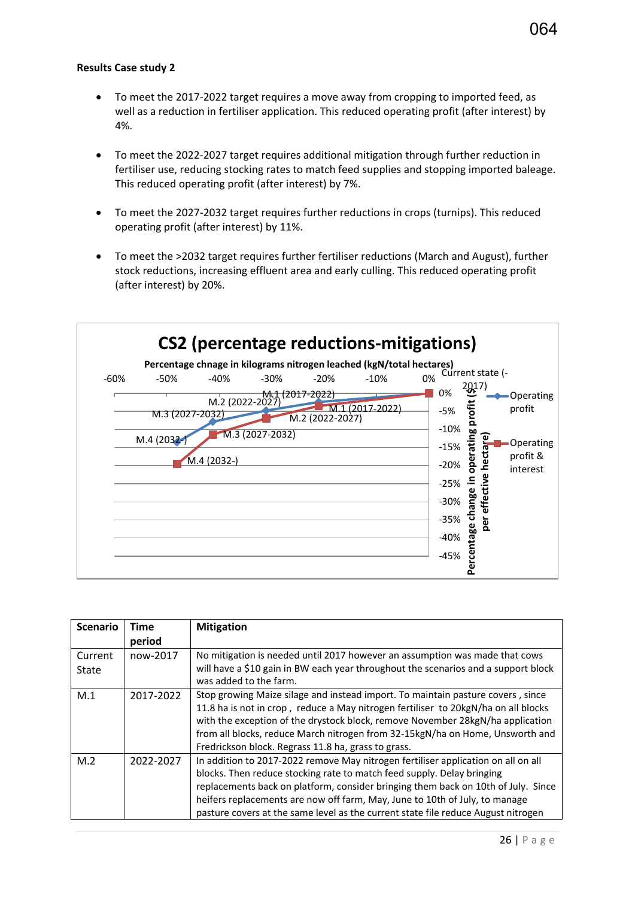- To meet the 2017-2022 target requires a move away from cropping to imported feed, as well as a reduction in fertiliser application. This reduced operating profit (after interest) by 4%.
- To meet the 2022-2027 target requires additional mitigation through further reduction in fertiliser use, reducing stocking rates to match feed supplies and stopping imported baleage. This reduced operating profit (after interest) by 7%.
- To meet the 2027-2032 target requires further reductions in crops (turnips). This reduced operating profit (after interest) by 11%.
- To meet the >2032 target requires further fertiliser reductions (March and August), further stock reductions, increasing effluent area and early culling. This reduced operating profit (after interest) by 20%.

|             | CS2 (percentage reductions-mitigations)                              |                                        |                 |                 |    |        |                  |                  |           |
|-------------|----------------------------------------------------------------------|----------------------------------------|-----------------|-----------------|----|--------|------------------|------------------|-----------|
|             | Percentage chnage in kilograms nitrogen leached (kgN/total hectares) |                                        |                 |                 |    |        |                  |                  |           |
| $-60%$      | -50%<br>$-40%$                                                       | $-30%$                                 | $-20%$          | $-10%$          | 0% |        |                  | Current state (- |           |
|             |                                                                      | M.1 $(2017-2022)$<br>M.2 $(2022-2027)$ |                 |                 |    | 0%     | 2017             |                  | Operating |
|             | M.3 (2027-2032)                                                      |                                        | M.2 (2022-2027) | M.1 (2017-2022) |    | -5%    |                  |                  | profit    |
|             |                                                                      | M.3 (2027-2032)                        |                 |                 |    | $-10%$ |                  |                  |           |
| M.4 (2032-) |                                                                      |                                        |                 |                 |    | $-15%$ | operating profit |                  | Operating |
|             | M.4 (2032-)                                                          |                                        |                 |                 |    | $-20%$ |                  | hecta            | profit &  |
|             |                                                                      |                                        |                 |                 |    |        |                  |                  | interest  |
|             |                                                                      |                                        |                 |                 |    | $-25%$ |                  |                  |           |
|             |                                                                      |                                        |                 |                 |    | $-30%$ | change in        |                  |           |
|             |                                                                      |                                        |                 |                 |    | $-35%$ |                  | per effective    |           |
|             |                                                                      |                                        |                 |                 |    | $-40%$ |                  |                  |           |
|             |                                                                      |                                        |                 |                 |    | $-45%$ | ercentage        |                  |           |
|             |                                                                      |                                        |                 |                 |    |        | ő.               |                  |           |

| <b>Scenario</b>  | <b>Time</b><br>period | <b>Mitigation</b>                                                                                                                                                                                                                                                                                                                                                                                                    |
|------------------|-----------------------|----------------------------------------------------------------------------------------------------------------------------------------------------------------------------------------------------------------------------------------------------------------------------------------------------------------------------------------------------------------------------------------------------------------------|
| Current<br>State | now-2017              | No mitigation is needed until 2017 however an assumption was made that cows<br>will have a \$10 gain in BW each year throughout the scenarios and a support block<br>was added to the farm.                                                                                                                                                                                                                          |
| M.1              | 2017-2022             | Stop growing Maize silage and instead import. To maintain pasture covers, since<br>11.8 ha is not in crop, reduce a May nitrogen fertiliser to 20kgN/ha on all blocks<br>with the exception of the drystock block, remove November 28kgN/ha application<br>from all blocks, reduce March nitrogen from 32-15kgN/ha on Home, Unsworth and<br>Fredrickson block. Regrass 11.8 ha, grass to grass.                      |
| M.2              | 2022-2027             | In addition to 2017-2022 remove May nitrogen fertiliser application on all on all<br>blocks. Then reduce stocking rate to match feed supply. Delay bringing<br>replacements back on platform, consider bringing them back on 10th of July. Since<br>heifers replacements are now off farm, May, June to 10th of July, to manage<br>pasture covers at the same level as the current state file reduce August nitrogen |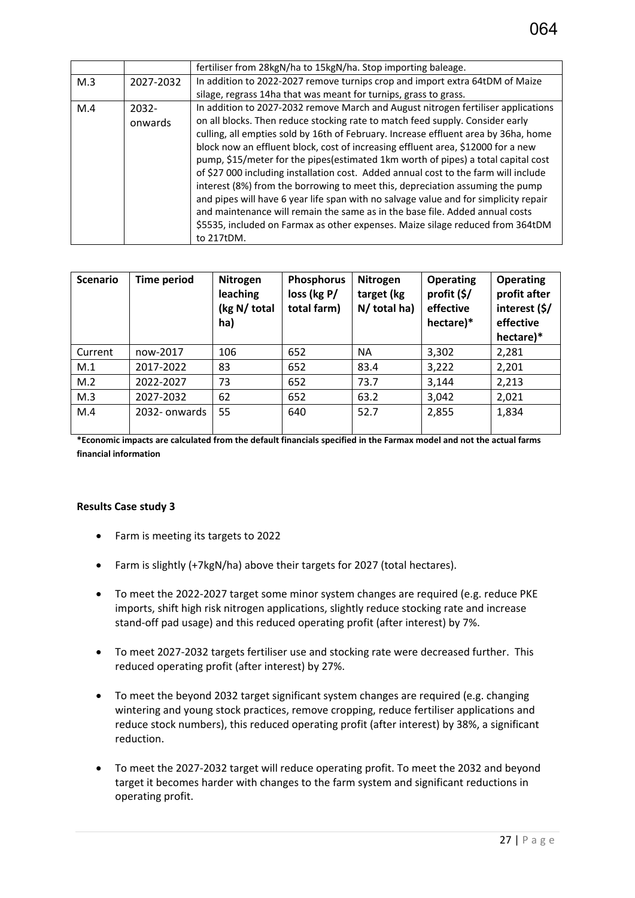|     |           | fertiliser from 28kgN/ha to 15kgN/ha. Stop importing baleage.                        |
|-----|-----------|--------------------------------------------------------------------------------------|
| M.3 | 2027-2032 | In addition to 2022-2027 remove turnips crop and import extra 64tDM of Maize         |
|     |           | silage, regrass 14ha that was meant for turnips, grass to grass.                     |
| M.4 | 2032-     | In addition to 2027-2032 remove March and August nitrogen fertiliser applications    |
|     | onwards   | on all blocks. Then reduce stocking rate to match feed supply. Consider early        |
|     |           | culling, all empties sold by 16th of February. Increase effluent area by 36ha, home  |
|     |           | block now an effluent block, cost of increasing effluent area, \$12000 for a new     |
|     |           | pump, \$15/meter for the pipes(estimated 1km worth of pipes) a total capital cost    |
|     |           | of \$27 000 including installation cost. Added annual cost to the farm will include  |
|     |           | interest (8%) from the borrowing to meet this, depreciation assuming the pump        |
|     |           | and pipes will have 6 year life span with no salvage value and for simplicity repair |
|     |           | and maintenance will remain the same as in the base file. Added annual costs         |
|     |           | \$5535, included on Farmax as other expenses. Maize silage reduced from 364tDM       |
|     |           | to 217tDM.                                                                           |

| <b>Scenario</b> | Time period   | Nitrogen<br>leaching<br>(kg N/ total<br>ha) | Phosphorus<br>loss (kg P/<br>total farm) | Nitrogen<br>target (kg<br>$N/$ total ha) | <b>Operating</b><br>profit (\$/<br>effective<br>hectare)* | <b>Operating</b><br>profit after<br>interest (\$/<br>effective<br>hectare)* |
|-----------------|---------------|---------------------------------------------|------------------------------------------|------------------------------------------|-----------------------------------------------------------|-----------------------------------------------------------------------------|
| Current         | now-2017      | 106                                         | 652                                      | <b>NA</b>                                | 3,302                                                     | 2,281                                                                       |
| M.1             | 2017-2022     | 83                                          | 652                                      | 83.4                                     | 3,222                                                     | 2,201                                                                       |
| M.2             | 2022-2027     | 73                                          | 652                                      | 73.7                                     | 3,144                                                     | 2,213                                                                       |
| M.3             | 2027-2032     | 62                                          | 652                                      | 63.2                                     | 3,042                                                     | 2,021                                                                       |
| M.4             | 2032- onwards | 55                                          | 640                                      | 52.7                                     | 2,855                                                     | 1,834                                                                       |

**\*Economic impacts are calculated from the default financials specified in the Farmax model and not the actual farms financial information** 

### **Results Case study 3**

- Farm is meeting its targets to 2022
- Farm is slightly (+7kgN/ha) above their targets for 2027 (total hectares).
- To meet the 2022-2027 target some minor system changes are required (e.g. reduce PKE imports, shift high risk nitrogen applications, slightly reduce stocking rate and increase stand-off pad usage) and this reduced operating profit (after interest) by 7%.
- To meet 2027-2032 targets fertiliser use and stocking rate were decreased further. This reduced operating profit (after interest) by 27%.
- To meet the beyond 2032 target significant system changes are required (e.g. changing wintering and young stock practices, remove cropping, reduce fertiliser applications and reduce stock numbers), this reduced operating profit (after interest) by 38%, a significant reduction.
- To meet the 2027-2032 target will reduce operating profit. To meet the 2032 and beyond target it becomes harder with changes to the farm system and significant reductions in operating profit.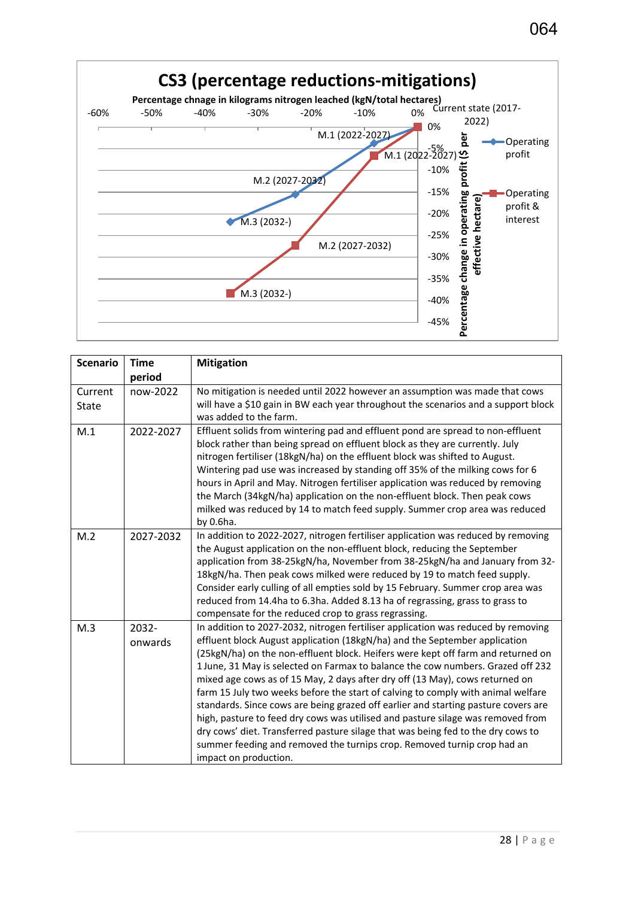

| <b>Scenario</b> | <b>Time</b> | <b>Mitigation</b>                                                                                                                                               |
|-----------------|-------------|-----------------------------------------------------------------------------------------------------------------------------------------------------------------|
|                 | period      |                                                                                                                                                                 |
| Current         | now-2022    | No mitigation is needed until 2022 however an assumption was made that cows                                                                                     |
| <b>State</b>    |             | will have a \$10 gain in BW each year throughout the scenarios and a support block                                                                              |
|                 |             | was added to the farm.                                                                                                                                          |
| M.1             | 2022-2027   | Effluent solids from wintering pad and effluent pond are spread to non-effluent                                                                                 |
|                 |             | block rather than being spread on effluent block as they are currently. July<br>nitrogen fertiliser (18kgN/ha) on the effluent block was shifted to August.     |
|                 |             | Wintering pad use was increased by standing off 35% of the milking cows for 6                                                                                   |
|                 |             | hours in April and May. Nitrogen fertiliser application was reduced by removing                                                                                 |
|                 |             | the March (34kgN/ha) application on the non-effluent block. Then peak cows                                                                                      |
|                 |             | milked was reduced by 14 to match feed supply. Summer crop area was reduced                                                                                     |
|                 |             | by 0.6ha.                                                                                                                                                       |
| M.2             | 2027-2032   | In addition to 2022-2027, nitrogen fertiliser application was reduced by removing                                                                               |
|                 |             | the August application on the non-effluent block, reducing the September                                                                                        |
|                 |             | application from 38-25kgN/ha, November from 38-25kgN/ha and January from 32-                                                                                    |
|                 |             | 18kgN/ha. Then peak cows milked were reduced by 19 to match feed supply.                                                                                        |
|                 |             | Consider early culling of all empties sold by 15 February. Summer crop area was                                                                                 |
|                 |             | reduced from 14.4ha to 6.3ha. Added 8.13 ha of regrassing, grass to grass to                                                                                    |
| M.3             | 2032-       | compensate for the reduced crop to grass regrassing.                                                                                                            |
|                 |             | In addition to 2027-2032, nitrogen fertiliser application was reduced by removing<br>effluent block August application (18kgN/ha) and the September application |
|                 | onwards     | (25kgN/ha) on the non-effluent block. Heifers were kept off farm and returned on                                                                                |
|                 |             | 1 June, 31 May is selected on Farmax to balance the cow numbers. Grazed off 232                                                                                 |
|                 |             | mixed age cows as of 15 May, 2 days after dry off (13 May), cows returned on                                                                                    |
|                 |             | farm 15 July two weeks before the start of calving to comply with animal welfare                                                                                |
|                 |             | standards. Since cows are being grazed off earlier and starting pasture covers are                                                                              |
|                 |             | high, pasture to feed dry cows was utilised and pasture silage was removed from                                                                                 |
|                 |             | dry cows' diet. Transferred pasture silage that was being fed to the dry cows to                                                                                |
|                 |             | summer feeding and removed the turnips crop. Removed turnip crop had an                                                                                         |
|                 |             | impact on production.                                                                                                                                           |